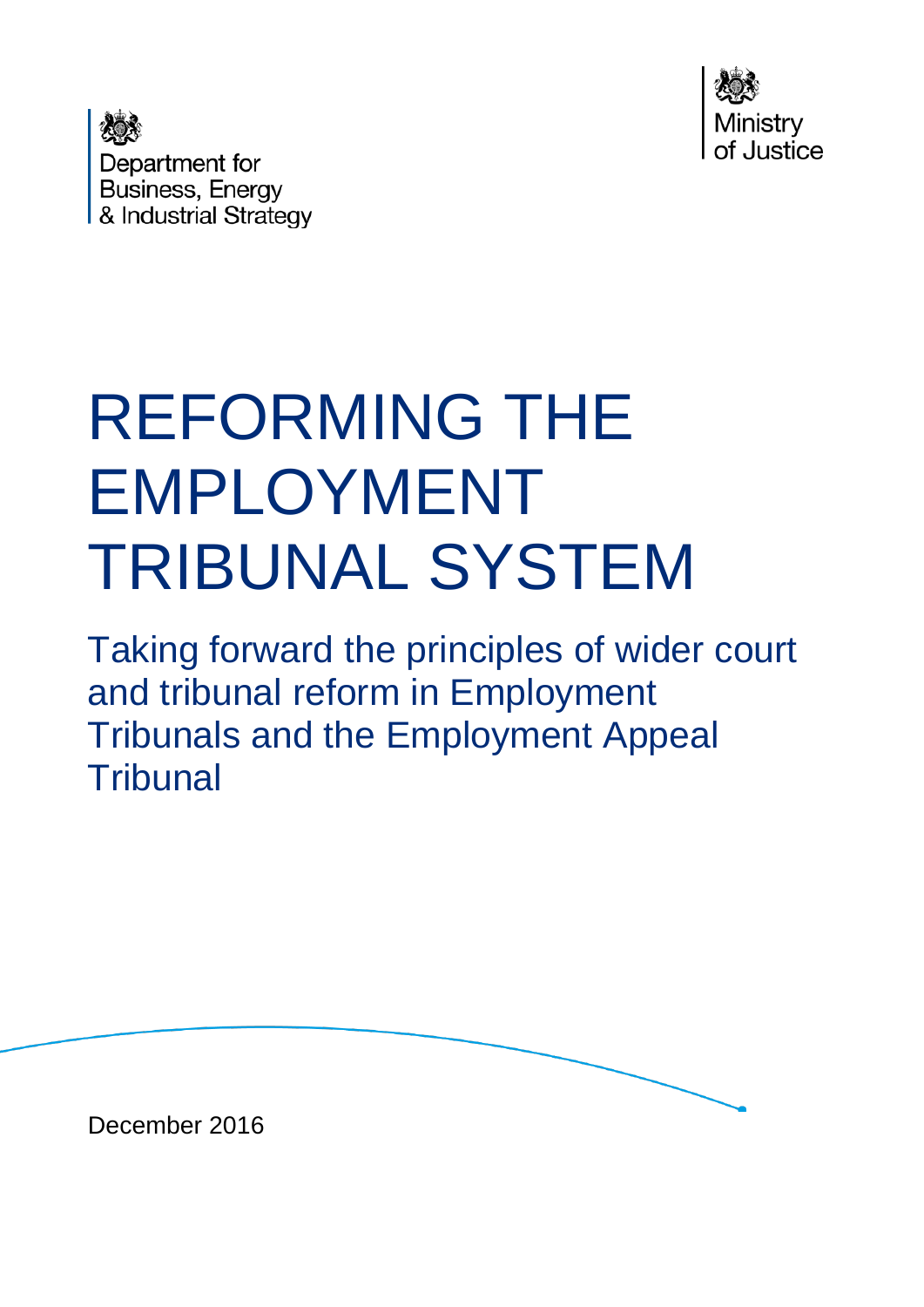

Department for **Business, Energy** & Industrial Strategy

# REFORMING THE EMPLOYMENT TRIBUNAL SYSTEM

Taking forward the principles of wider court and tribunal reform in Employment Tribunals and the Employment Appeal **Tribunal** 

December 2016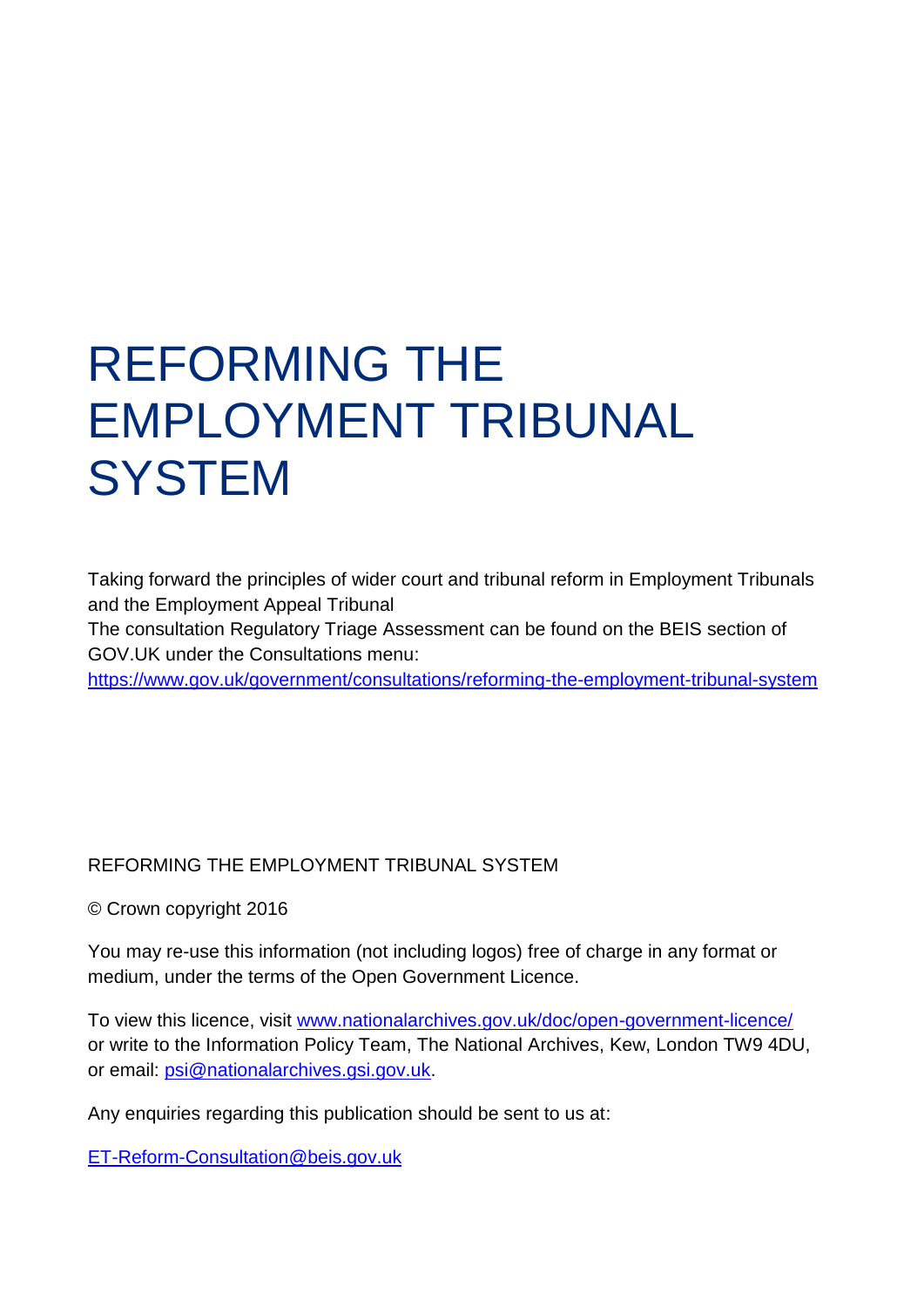## REFORMING THE EMPLOYMENT TRIBUNAL **SYSTEM**

Taking forward the principles of wider court and tribunal reform in Employment Tribunals and the Employment Appeal Tribunal

The consultation Regulatory Triage Assessment can be found on the BEIS section of GOV.UK under the Consultations menu:

<https://www.gov.uk/government/consultations/reforming-the-employment-tribunal-system>

#### REFORMING THE EMPLOYMENT TRIBUNAL SYSTEM

© Crown copyright 2016

You may re-use this information (not including logos) free of charge in any format or medium, under the terms of the Open Government Licence.

To view this licence, visit [www.nationalarchives.gov.uk/doc/open-government-licence/](http://www.nationalarchives.gov.uk/doc/open-government-licence/) or write to the Information Policy Team, The National Archives, Kew, London TW9 4DU, or email: [psi@nationalarchives.gsi.gov.uk.](mailto:psi@nationalarchives.gsi.gov.uk)

Any enquiries regarding this publication should be sent to us at:

[ET-Reform-Consultation@beis.gov.uk](mailto:ET-Reform-Consultation@beis.gov.uk)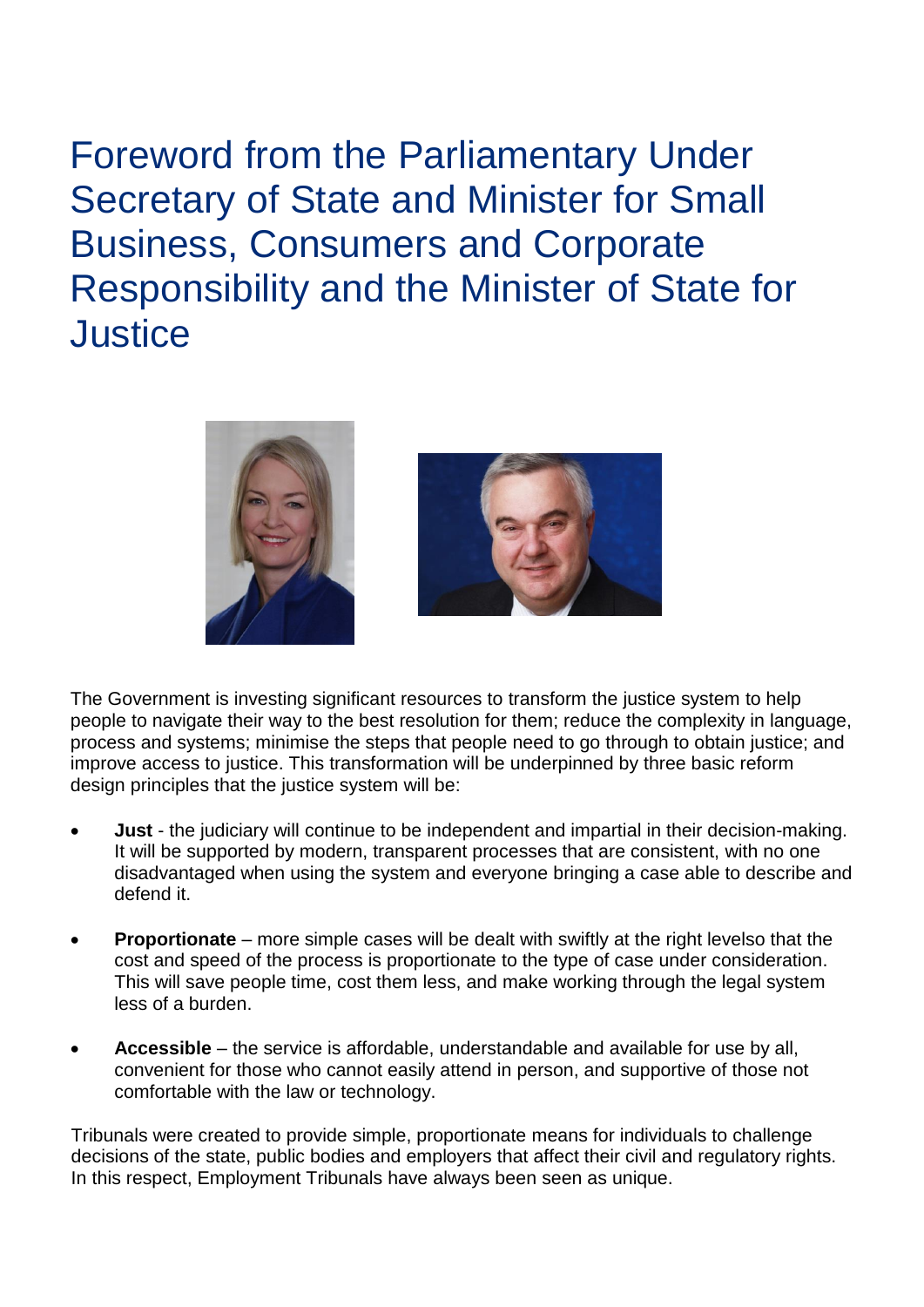<span id="page-2-0"></span>Foreword from the Parliamentary Under Secretary of State and Minister for Small Business, Consumers and Corporate Responsibility and the Minister of State for **Justice** 





The Government is investing significant resources to transform the justice system to help people to navigate their way to the best resolution for them; reduce the complexity in language, process and systems; minimise the steps that people need to go through to obtain justice; and improve access to justice. This transformation will be underpinned by three basic reform design principles that the justice system will be:

- **Just** the judiciary will continue to be independent and impartial in their decision-making. It will be supported by modern, transparent processes that are consistent, with no one disadvantaged when using the system and everyone bringing a case able to describe and defend it.
- **Proportionate** more simple cases will be dealt with swiftly at the right levelso that the cost and speed of the process is proportionate to the type of case under consideration. This will save people time, cost them less, and make working through the legal system less of a burden.
- **Accessible** the service is affordable, understandable and available for use by all, convenient for those who cannot easily attend in person, and supportive of those not comfortable with the law or technology.

Tribunals were created to provide simple, proportionate means for individuals to challenge decisions of the state, public bodies and employers that affect their civil and regulatory rights. In this respect, Employment Tribunals have always been seen as unique.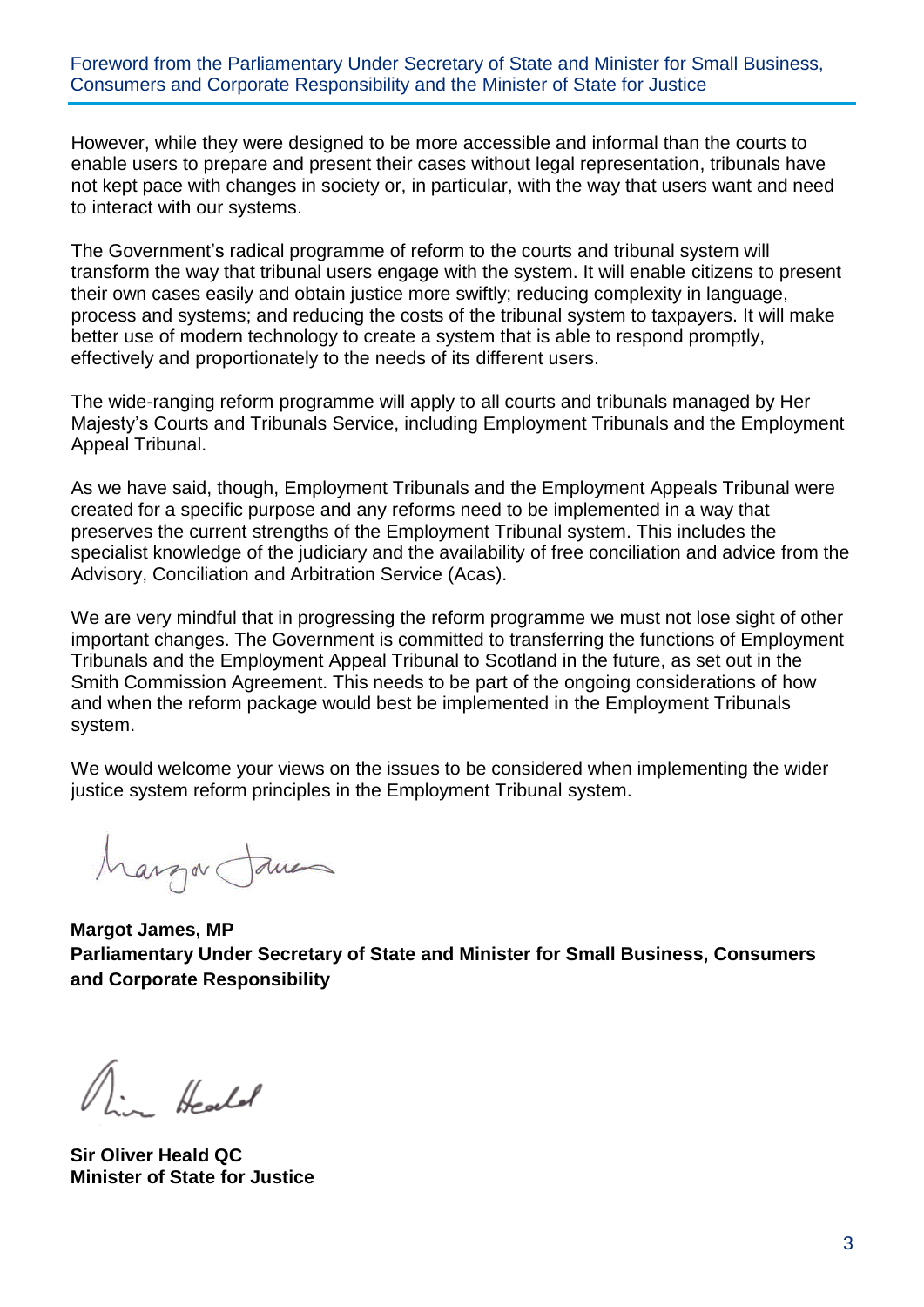#### Foreword from the Parliamentary Under Secretary of State and Minister for Small Business, Consumers and Corporate Responsibility and the Minister of State for Justice

However, while they were designed to be more accessible and informal than the courts to enable users to prepare and present their cases without legal representation, tribunals have not kept pace with changes in society or, in particular, with the way that users want and need to interact with our systems.

The Government's radical programme of reform to the courts and tribunal system will transform the way that tribunal users engage with the system. It will enable citizens to present their own cases easily and obtain justice more swiftly; reducing complexity in language, process and systems; and reducing the costs of the tribunal system to taxpayers. It will make better use of modern technology to create a system that is able to respond promptly, effectively and proportionately to the needs of its different users.

The wide-ranging reform programme will apply to all courts and tribunals managed by Her Majesty's Courts and Tribunals Service, including Employment Tribunals and the Employment Appeal Tribunal.

As we have said, though, Employment Tribunals and the Employment Appeals Tribunal were created for a specific purpose and any reforms need to be implemented in a way that preserves the current strengths of the Employment Tribunal system. This includes the specialist knowledge of the judiciary and the availability of free conciliation and advice from the Advisory, Conciliation and Arbitration Service (Acas).

We are very mindful that in progressing the reform programme we must not lose sight of other important changes. The Government is committed to transferring the functions of Employment Tribunals and the Employment Appeal Tribunal to Scotland in the future, as set out in the Smith Commission Agreement. This needs to be part of the ongoing considerations of how and when the reform package would best be implemented in the Employment Tribunals system.

We would welcome your views on the issues to be considered when implementing the wider justice system reform principles in the Employment Tribunal system.

Margar James

**Margot James, MP Parliamentary Under Secretary of State and Minister for Small Business, Consumers and Corporate Responsibility**

 $\bigwedge$  . Hended

**Sir Oliver Heald QC Minister of State for Justice**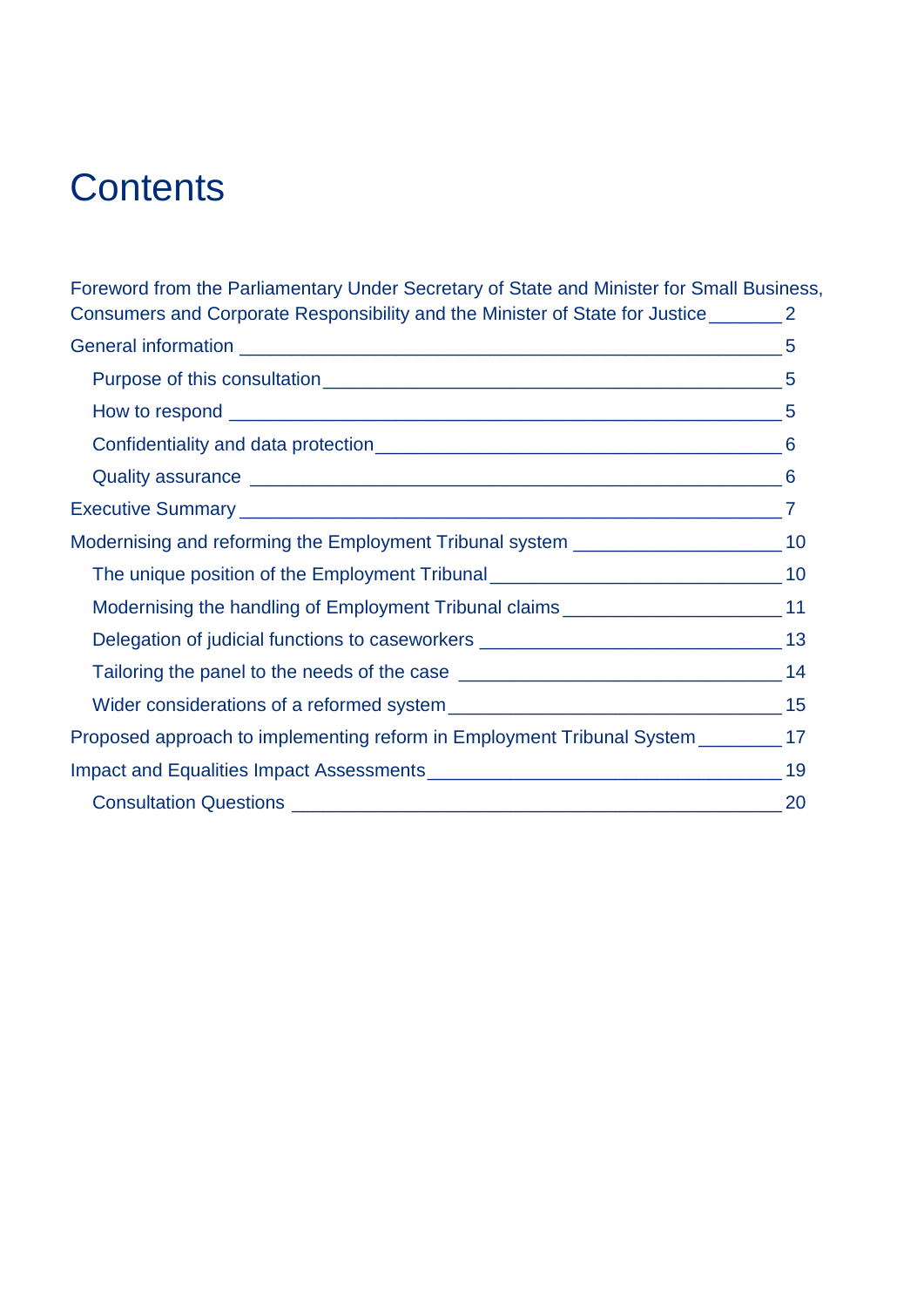### **Contents**

[Foreword from the Parliamentary Under Secretary of State and Minister for Small Business,](#page-2-0)  [Consumers and Corporate Responsibility and the Minister of State for Justice\\_\\_\\_\\_\\_\\_\\_](#page-2-0) 2 General information  $\sim$  5 Purpose of this consultation example of this consultation of the set of the set of the set of the set of the set of the set of the set of the set of the set of the set of the set of the set of the set of the set of the set How to respond  $\sim$  5 [Confidentiality and data protection\\_\\_\\_\\_\\_\\_\\_\\_\\_\\_\\_\\_\\_\\_\\_\\_\\_\\_\\_\\_\\_\\_\\_\\_\\_\\_\\_\\_\\_\\_\\_\\_\\_\\_\\_\\_\\_\\_\\_](#page-6-0) 6 Quality assurance [\\_\\_\\_\\_\\_\\_\\_\\_\\_\\_\\_\\_\\_\\_\\_\\_\\_\\_\\_\\_\\_\\_\\_\\_\\_\\_\\_\\_\\_\\_\\_\\_\\_\\_\\_\\_\\_\\_\\_\\_\\_\\_\\_\\_\\_\\_\\_\\_\\_\\_\\_](#page-6-1) 6 Executive Summary  $\overline{z}$ [Modernising and reforming the Employment Tribunal system](#page-10-0) \_\_\_\_\_\_\_\_\_\_\_\_\_\_\_\_\_\_\_\_\_\_\_ 10 [The unique position of the Employment Tribunal](#page-10-1) \_\_\_\_\_\_\_\_\_\_\_\_\_\_\_\_\_\_\_\_\_\_\_\_\_\_\_\_\_\_\_\_\_ 10 [Modernising the handling of Employment Tribunal claims](#page-11-0) \_\_\_\_\_\_\_\_\_\_\_\_\_\_\_\_\_\_\_\_\_ 11 [Delegation of judicial functions to caseworkers](#page-13-0) \_\_\_\_\_\_\_\_\_\_\_\_\_\_\_\_\_\_\_\_\_\_\_\_\_\_\_\_\_\_\_\_ 13 [Tailoring the panel to the needs of the case](#page-14-0) \_\_\_\_\_\_\_\_\_\_\_\_\_\_\_\_\_\_\_\_\_\_\_\_\_\_\_\_\_\_\_\_\_\_\_ 14 Wider considerations of a reformed system example of the state of 15 [Proposed approach to implementing reform in Employment Tribunal System](#page-17-0) \_\_\_\_\_\_\_\_ 17 [Impact and Equalities Impact Assessments\\_\\_\\_\\_\\_\\_\\_\\_\\_\\_\\_\\_\\_\\_\\_\\_\\_\\_\\_\\_\\_\\_\\_\\_\\_\\_\\_\\_\\_\\_\\_\\_\\_\\_](#page-19-0) 19 Consultation Questions [\\_\\_\\_\\_\\_\\_\\_\\_\\_\\_\\_\\_\\_\\_\\_\\_\\_\\_\\_\\_\\_\\_\\_\\_\\_\\_\\_\\_\\_\\_\\_\\_\\_\\_\\_\\_\\_\\_\\_\\_\\_\\_\\_\\_\\_\\_\\_](#page-20-0) 20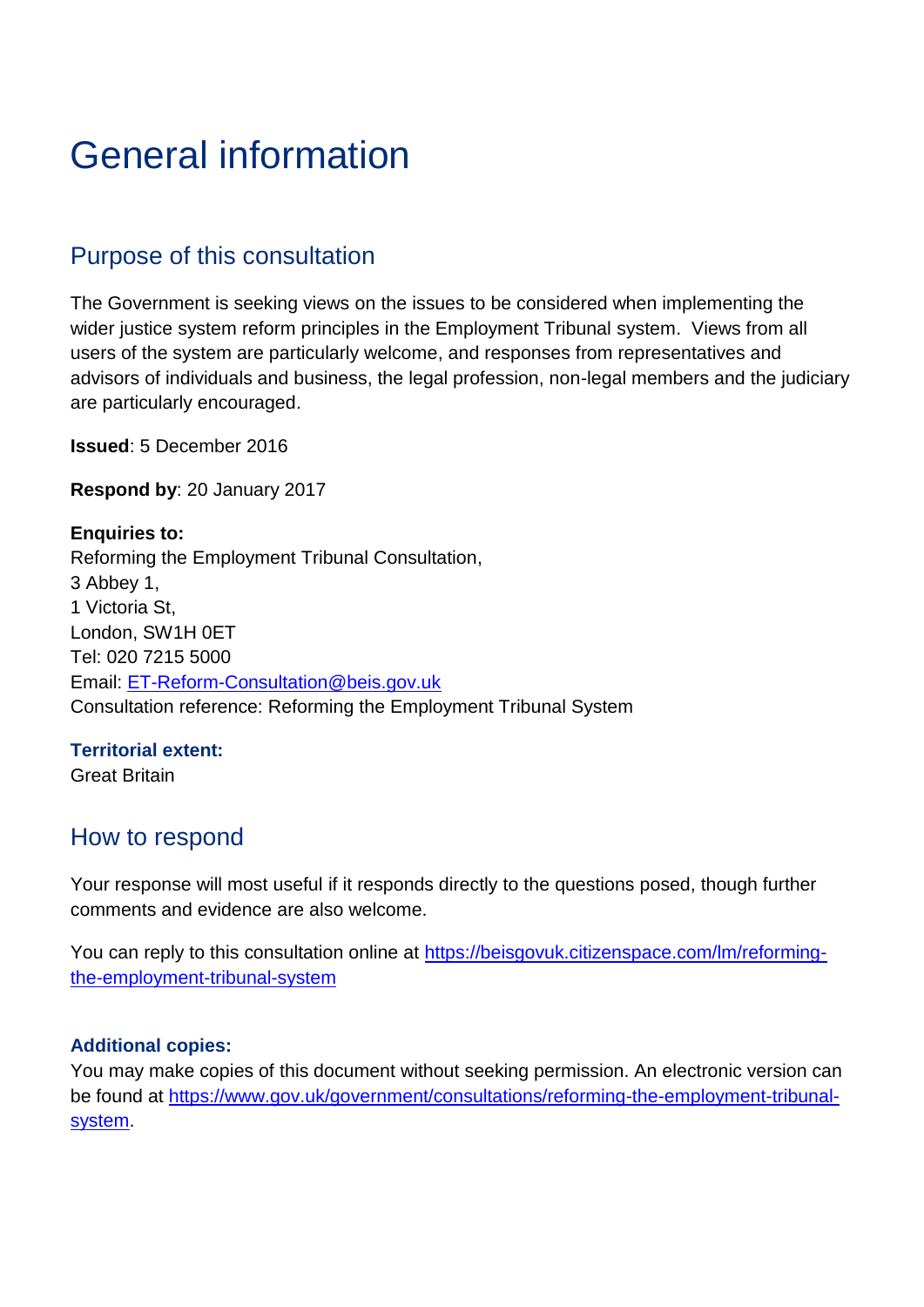### <span id="page-5-0"></span>General information

#### <span id="page-5-1"></span>Purpose of this consultation

The Government is seeking views on the issues to be considered when implementing the wider justice system reform principles in the Employment Tribunal system. Views from all users of the system are particularly welcome, and responses from representatives and advisors of individuals and business, the legal profession, non-legal members and the judiciary are particularly encouraged.

**Issued**: 5 December 2016

**Respond by**: 20 January 2017

**Enquiries to:** Reforming the Employment Tribunal Consultation, 3 Abbey 1, 1 Victoria St, London, SW1H 0ET Tel: 020 7215 5000 Email: [ET-Reform-Consultation@beis.gov.uk](mailto:ET-Reform-Consultation@beis.gov.uk) Consultation reference: Reforming the Employment Tribunal System

#### **Territorial extent:**

Great Britain

#### <span id="page-5-2"></span>How to respond

Your response will most useful if it responds directly to the questions posed, though further comments and evidence are also welcome.

You can reply to this consultation online at [https://beisgovuk.citizenspace.com/lm/reforming](https://beisgovuk.citizenspace.com/lm/reforming-the-employment-tribunal-system)[the-employment-tribunal-system](https://beisgovuk.citizenspace.com/lm/reforming-the-employment-tribunal-system)

#### **Additional copies:**

You may make copies of this document without seeking permission. An electronic version can be found at [https://www.gov.uk/government/consultations/reforming-the-employment-tribunal](https://www.gov.uk/government/consultations/reforming-the-employment-tribunal-system)[system.](https://www.gov.uk/government/consultations/reforming-the-employment-tribunal-system)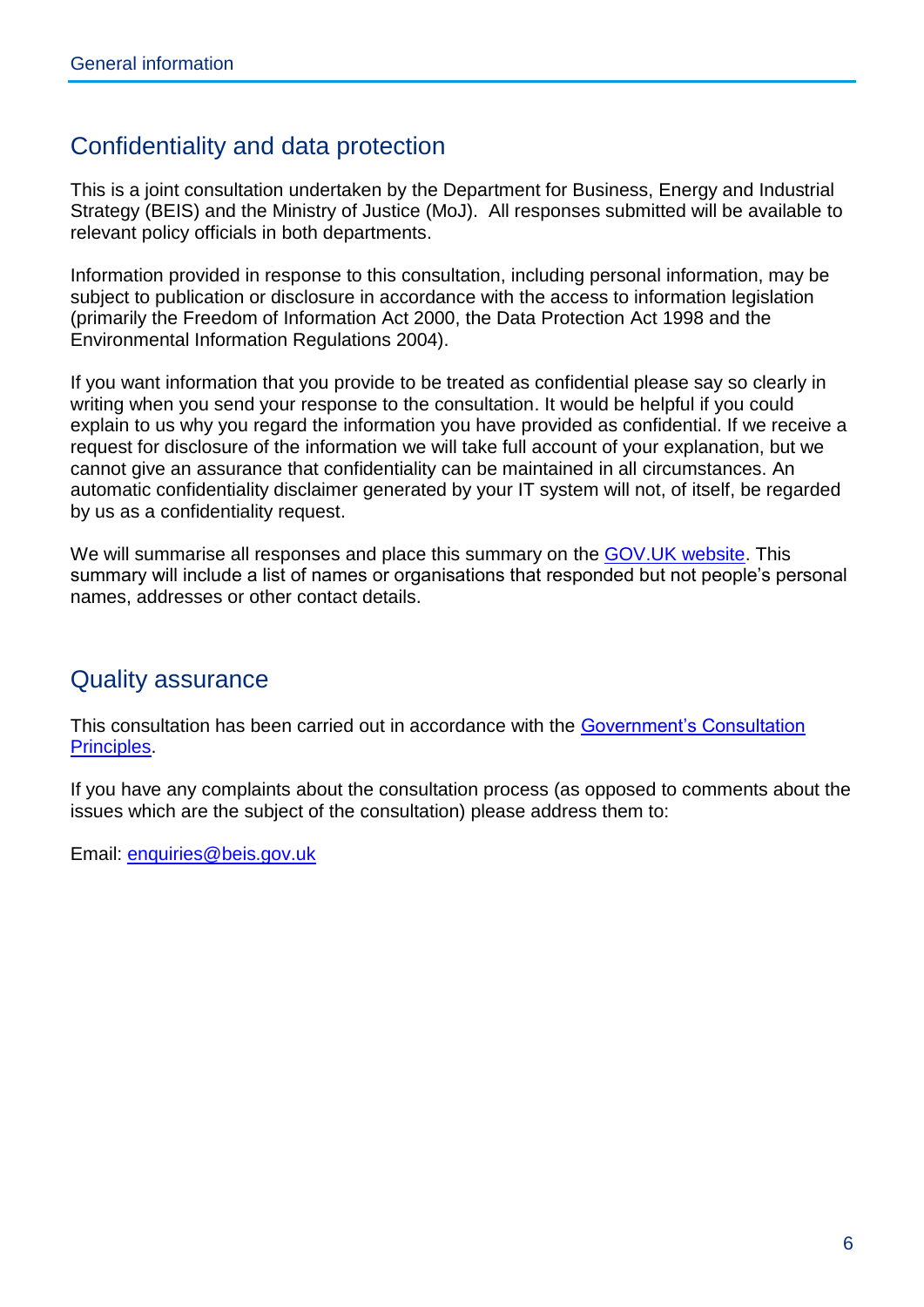#### <span id="page-6-0"></span>Confidentiality and data protection

This is a joint consultation undertaken by the Department for Business, Energy and Industrial Strategy (BEIS) and the Ministry of Justice (MoJ). All responses submitted will be available to relevant policy officials in both departments.

Information provided in response to this consultation, including personal information, may be subject to publication or disclosure in accordance with the access to information legislation (primarily the Freedom of Information Act 2000, the Data Protection Act 1998 and the Environmental Information Regulations 2004).

If you want information that you provide to be treated as confidential please say so clearly in writing when you send your response to the consultation. It would be helpful if you could explain to us why you regard the information you have provided as confidential. If we receive a request for disclosure of the information we will take full account of your explanation, but we cannot give an assurance that confidentiality can be maintained in all circumstances. An automatic confidentiality disclaimer generated by your IT system will not, of itself, be regarded by us as a confidentiality request.

We will summarise all responses and place this summary on the [GOV.UK website.](https://www.gov.uk/government/publications?departments%5B%5D=department-of-energy-climate-change&publication_filter_option=consultations) This summary will include a list of names or organisations that responded but not people's personal names, addresses or other contact details.

#### <span id="page-6-1"></span>Quality assurance

This consultation has been carried out in accordance with the [Government's Consultation](https://www.gov.uk/government/publications/consultation-principles-guidance)  [Principles.](https://www.gov.uk/government/publications/consultation-principles-guidance)

If you have any complaints about the consultation process (as opposed to comments about the issues which are the subject of the consultation) please address them to:

Email: [enquiries@beis.gov.uk](mailto:enquiries@beis.gov.uk)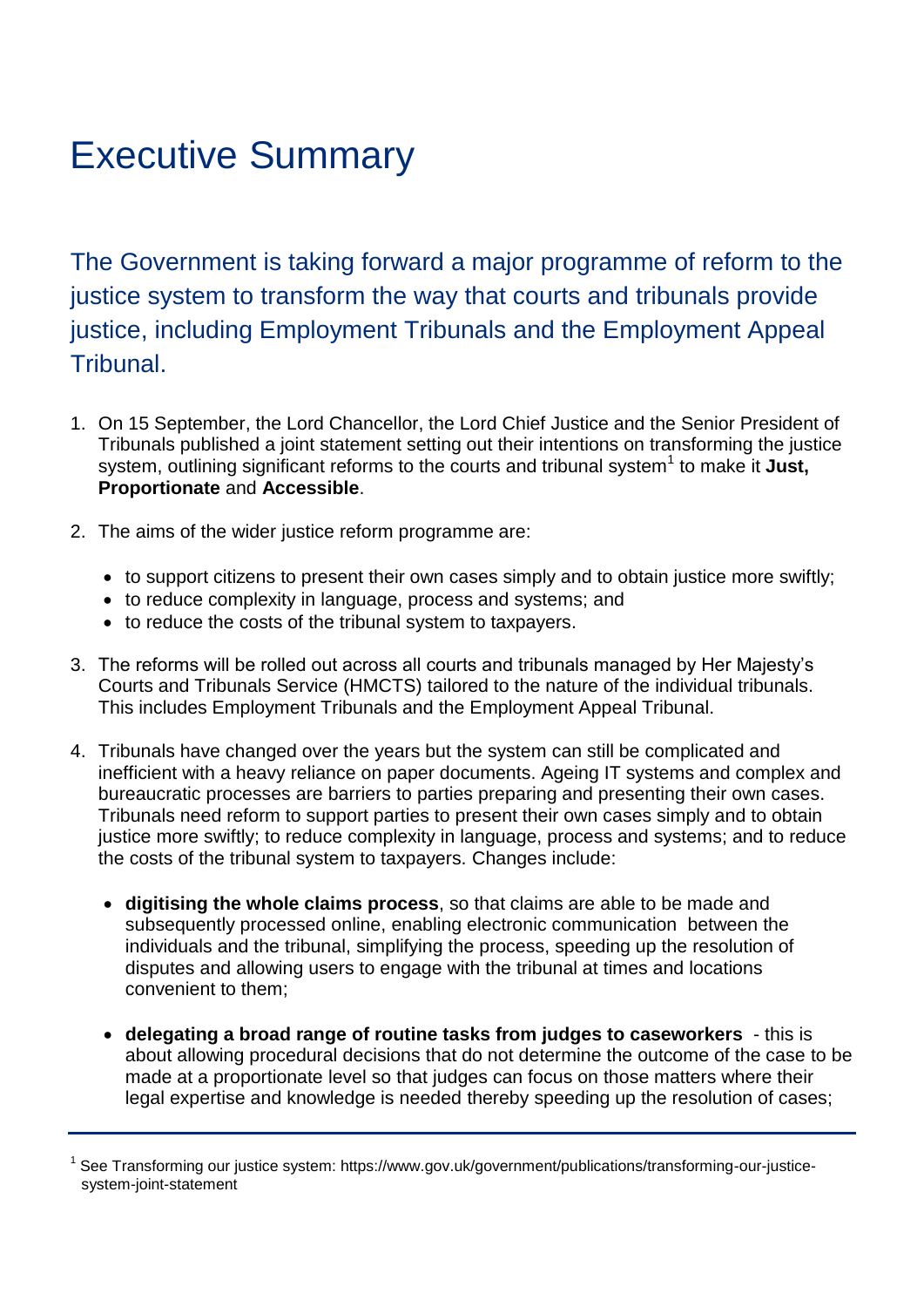### <span id="page-7-0"></span>Executive Summary

The Government is taking forward a major programme of reform to the justice system to transform the way that courts and tribunals provide justice, including Employment Tribunals and the Employment Appeal Tribunal.

- 1. On 15 September, the Lord Chancellor, the Lord Chief Justice and the Senior President of Tribunals published a joint statement setting out their intentions on transforming the justice system, outlining significant reforms to the courts and tribunal system<sup>1</sup> to make it Just, **Proportionate** and **Accessible**.
- 2. The aims of the wider justice reform programme are:
	- to support citizens to present their own cases simply and to obtain justice more swiftly;
	- to reduce complexity in language, process and systems; and
	- to reduce the costs of the tribunal system to taxpayers.
- 3. The reforms will be rolled out across all courts and tribunals managed by Her Majesty's Courts and Tribunals Service (HMCTS) tailored to the nature of the individual tribunals. This includes Employment Tribunals and the Employment Appeal Tribunal.
- 4. Tribunals have changed over the years but the system can still be complicated and inefficient with a heavy reliance on paper documents. Ageing IT systems and complex and bureaucratic processes are barriers to parties preparing and presenting their own cases. Tribunals need reform to support parties to present their own cases simply and to obtain justice more swiftly; to reduce complexity in language, process and systems; and to reduce the costs of the tribunal system to taxpayers. Changes include:
	- **digitising the whole claims process**, so that claims are able to be made and subsequently processed online, enabling electronic communication between the individuals and the tribunal, simplifying the process, speeding up the resolution of disputes and allowing users to engage with the tribunal at times and locations convenient to them;
	- **delegating a broad range of routine tasks from judges to caseworkers** this is about allowing procedural decisions that do not determine the outcome of the case to be made at a proportionate level so that judges can focus on those matters where their legal expertise and knowledge is needed thereby speeding up the resolution of cases;

<sup>&</sup>lt;sup>1</sup> See Transforming our justice system: https://www.gov.uk/government/publications/transforming-our-justicesystem-joint-statement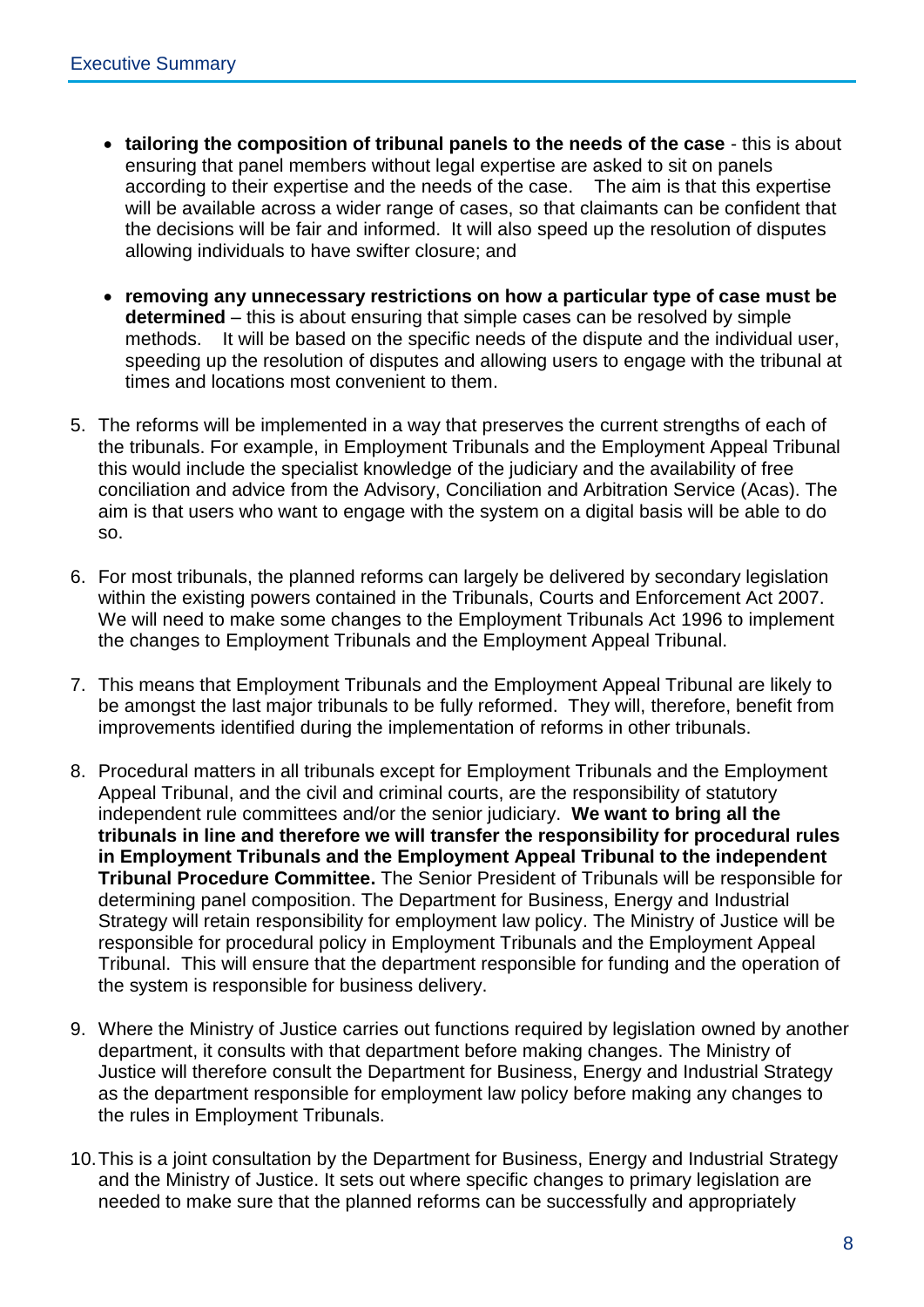- **tailoring the composition of tribunal panels to the needs of the case** this is about ensuring that panel members without legal expertise are asked to sit on panels according to their expertise and the needs of the case. The aim is that this expertise will be available across a wider range of cases, so that claimants can be confident that the decisions will be fair and informed. It will also speed up the resolution of disputes allowing individuals to have swifter closure; and
- **removing any unnecessary restrictions on how a particular type of case must be determined** – this is about ensuring that simple cases can be resolved by simple methods. It will be based on the specific needs of the dispute and the individual user, speeding up the resolution of disputes and allowing users to engage with the tribunal at times and locations most convenient to them.
- 5. The reforms will be implemented in a way that preserves the current strengths of each of the tribunals. For example, in Employment Tribunals and the Employment Appeal Tribunal this would include the specialist knowledge of the judiciary and the availability of free conciliation and advice from the Advisory, Conciliation and Arbitration Service (Acas). The aim is that users who want to engage with the system on a digital basis will be able to do so.
- 6. For most tribunals, the planned reforms can largely be delivered by secondary legislation within the existing powers contained in the Tribunals, Courts and Enforcement Act 2007. We will need to make some changes to the Employment Tribunals Act 1996 to implement the changes to Employment Tribunals and the Employment Appeal Tribunal.
- 7. This means that Employment Tribunals and the Employment Appeal Tribunal are likely to be amongst the last major tribunals to be fully reformed. They will, therefore, benefit from improvements identified during the implementation of reforms in other tribunals.
- 8. Procedural matters in all tribunals except for Employment Tribunals and the Employment Appeal Tribunal, and the civil and criminal courts, are the responsibility of statutory independent rule committees and/or the senior judiciary. **We want to bring all the tribunals in line and therefore we will transfer the responsibility for procedural rules in Employment Tribunals and the Employment Appeal Tribunal to the independent Tribunal Procedure Committee.** The Senior President of Tribunals will be responsible for determining panel composition. The Department for Business, Energy and Industrial Strategy will retain responsibility for employment law policy. The Ministry of Justice will be responsible for procedural policy in Employment Tribunals and the Employment Appeal Tribunal. This will ensure that the department responsible for funding and the operation of the system is responsible for business delivery.
- 9. Where the Ministry of Justice carries out functions required by legislation owned by another department, it consults with that department before making changes. The Ministry of Justice will therefore consult the Department for Business, Energy and Industrial Strategy as the department responsible for employment law policy before making any changes to the rules in Employment Tribunals.
- 10.This is a joint consultation by the Department for Business, Energy and Industrial Strategy and the Ministry of Justice. It sets out where specific changes to primary legislation are needed to make sure that the planned reforms can be successfully and appropriately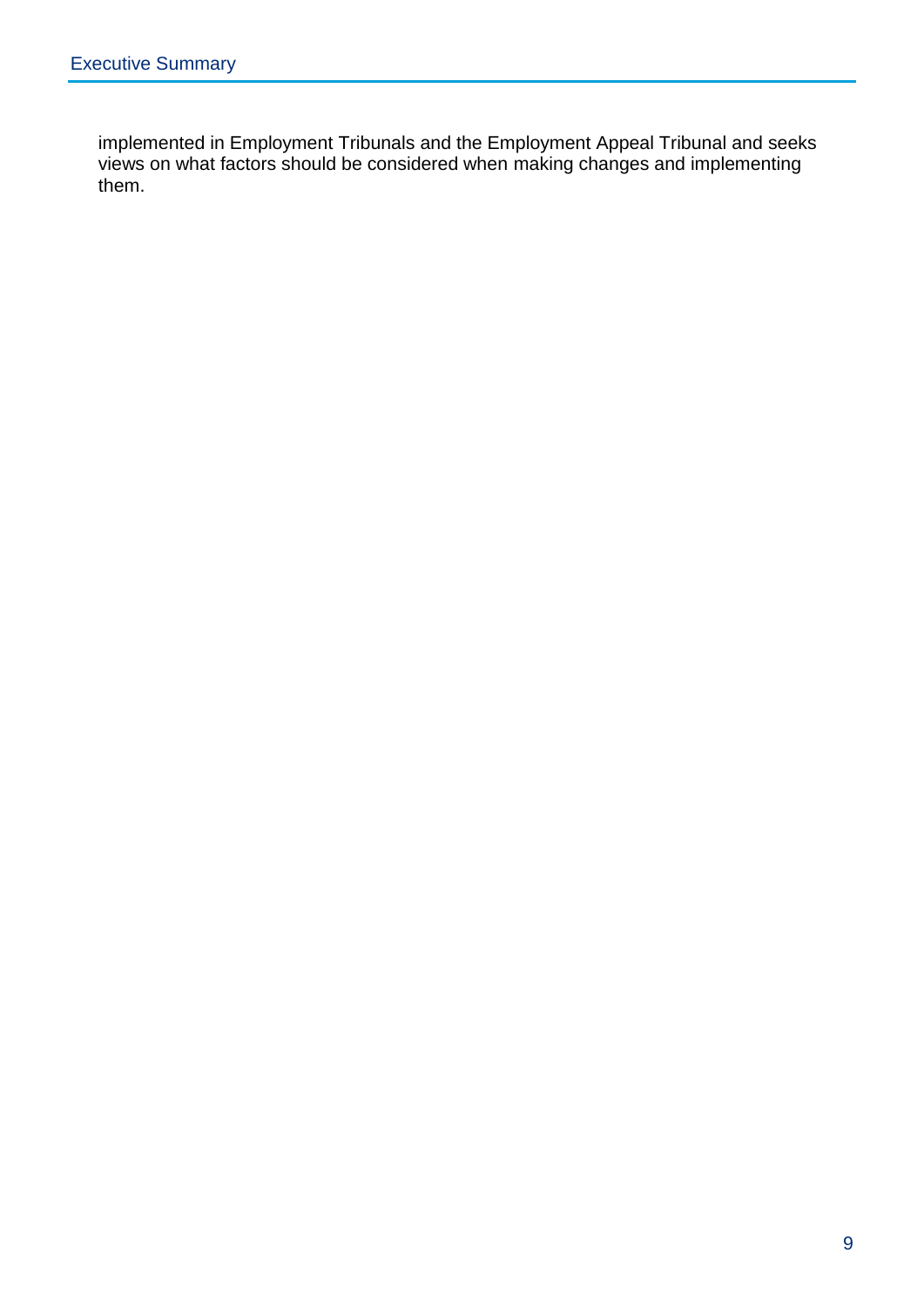implemented in Employment Tribunals and the Employment Appeal Tribunal and seeks views on what factors should be considered when making changes and implementing them.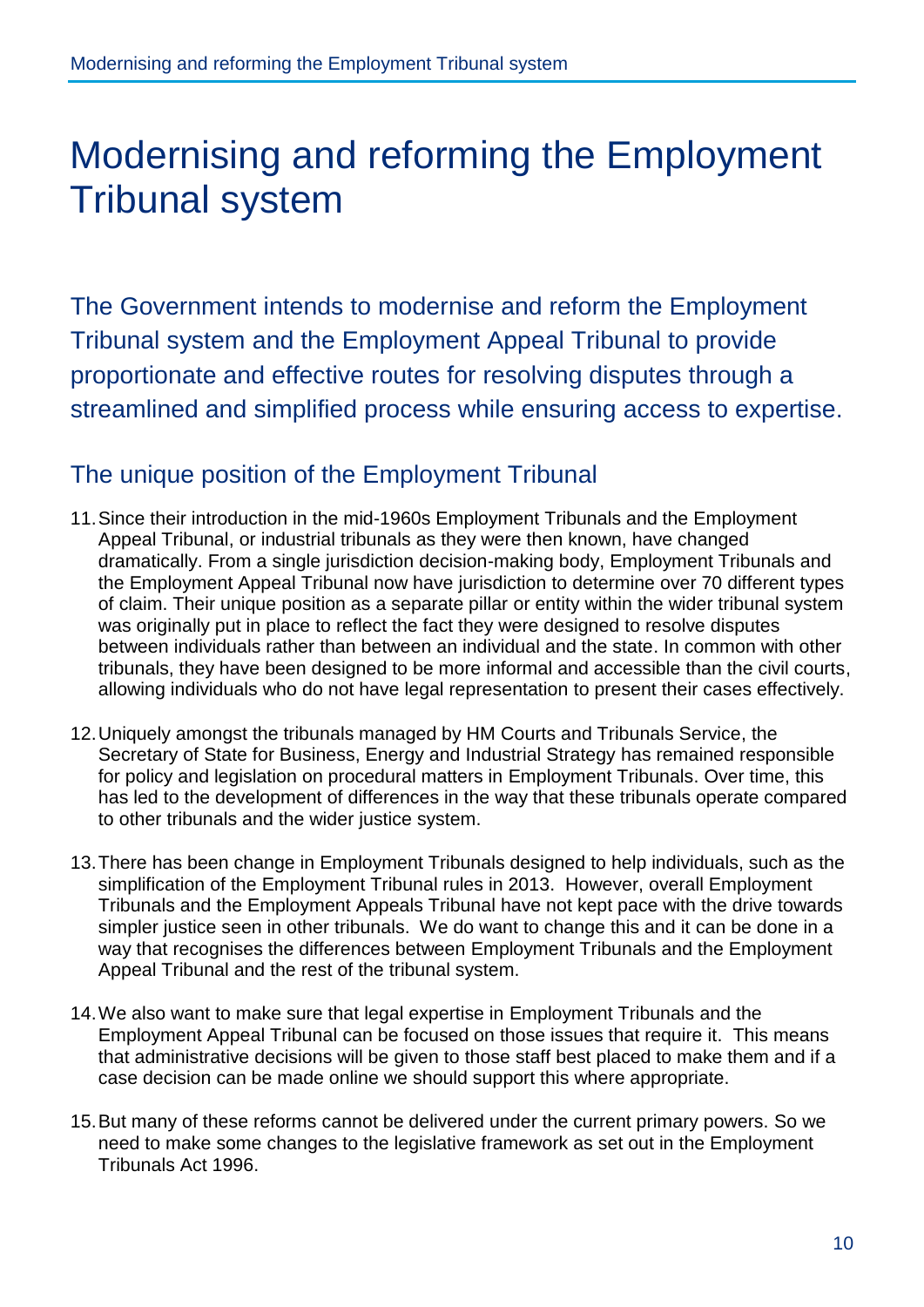### <span id="page-10-0"></span>Modernising and reforming the Employment Tribunal system

The Government intends to modernise and reform the Employment Tribunal system and the Employment Appeal Tribunal to provide proportionate and effective routes for resolving disputes through a streamlined and simplified process while ensuring access to expertise.

#### <span id="page-10-1"></span>The unique position of the Employment Tribunal

- 11.Since their introduction in the mid-1960s Employment Tribunals and the Employment Appeal Tribunal, or industrial tribunals as they were then known, have changed dramatically. From a single jurisdiction decision-making body, Employment Tribunals and the Employment Appeal Tribunal now have jurisdiction to determine over 70 different types of claim. Their unique position as a separate pillar or entity within the wider tribunal system was originally put in place to reflect the fact they were designed to resolve disputes between individuals rather than between an individual and the state. In common with other tribunals, they have been designed to be more informal and accessible than the civil courts, allowing individuals who do not have legal representation to present their cases effectively.
- 12.Uniquely amongst the tribunals managed by HM Courts and Tribunals Service, the Secretary of State for Business, Energy and Industrial Strategy has remained responsible for policy and legislation on procedural matters in Employment Tribunals. Over time, this has led to the development of differences in the way that these tribunals operate compared to other tribunals and the wider justice system.
- 13.There has been change in Employment Tribunals designed to help individuals, such as the simplification of the Employment Tribunal rules in 2013. However, overall Employment Tribunals and the Employment Appeals Tribunal have not kept pace with the drive towards simpler justice seen in other tribunals. We do want to change this and it can be done in a way that recognises the differences between Employment Tribunals and the Employment Appeal Tribunal and the rest of the tribunal system.
- 14.We also want to make sure that legal expertise in Employment Tribunals and the Employment Appeal Tribunal can be focused on those issues that require it. This means that administrative decisions will be given to those staff best placed to make them and if a case decision can be made online we should support this where appropriate.
- 15.But many of these reforms cannot be delivered under the current primary powers. So we need to make some changes to the legislative framework as set out in the Employment Tribunals Act 1996.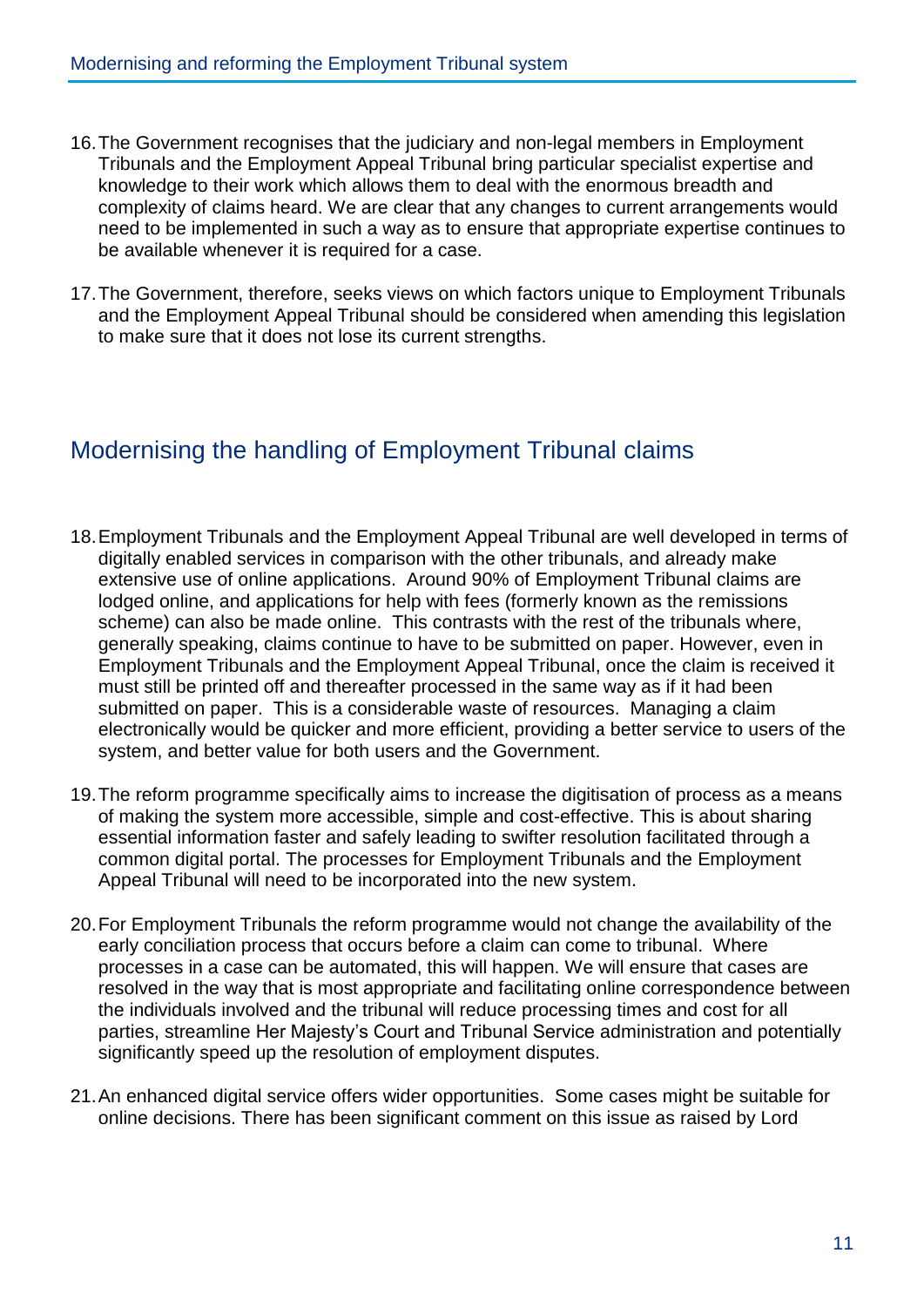- 16.The Government recognises that the judiciary and non-legal members in Employment Tribunals and the Employment Appeal Tribunal bring particular specialist expertise and knowledge to their work which allows them to deal with the enormous breadth and complexity of claims heard. We are clear that any changes to current arrangements would need to be implemented in such a way as to ensure that appropriate expertise continues to be available whenever it is required for a case.
- 17.The Government, therefore, seeks views on which factors unique to Employment Tribunals and the Employment Appeal Tribunal should be considered when amending this legislation to make sure that it does not lose its current strengths.

#### <span id="page-11-0"></span>Modernising the handling of Employment Tribunal claims

- 18.Employment Tribunals and the Employment Appeal Tribunal are well developed in terms of digitally enabled services in comparison with the other tribunals, and already make extensive use of online applications. Around 90% of Employment Tribunal claims are lodged online, and applications for help with fees (formerly known as the remissions scheme) can also be made online. This contrasts with the rest of the tribunals where, generally speaking, claims continue to have to be submitted on paper. However, even in Employment Tribunals and the Employment Appeal Tribunal, once the claim is received it must still be printed off and thereafter processed in the same way as if it had been submitted on paper. This is a considerable waste of resources. Managing a claim electronically would be quicker and more efficient, providing a better service to users of the system, and better value for both users and the Government.
- 19.The reform programme specifically aims to increase the digitisation of process as a means of making the system more accessible, simple and cost-effective. This is about sharing essential information faster and safely leading to swifter resolution facilitated through a common digital portal. The processes for Employment Tribunals and the Employment Appeal Tribunal will need to be incorporated into the new system.
- 20.For Employment Tribunals the reform programme would not change the availability of the early conciliation process that occurs before a claim can come to tribunal. Where processes in a case can be automated, this will happen. We will ensure that cases are resolved in the way that is most appropriate and facilitating online correspondence between the individuals involved and the tribunal will reduce processing times and cost for all parties, streamline Her Majesty's Court and Tribunal Service administration and potentially significantly speed up the resolution of employment disputes.
- 21.An enhanced digital service offers wider opportunities. Some cases might be suitable for online decisions. There has been significant comment on this issue as raised by Lord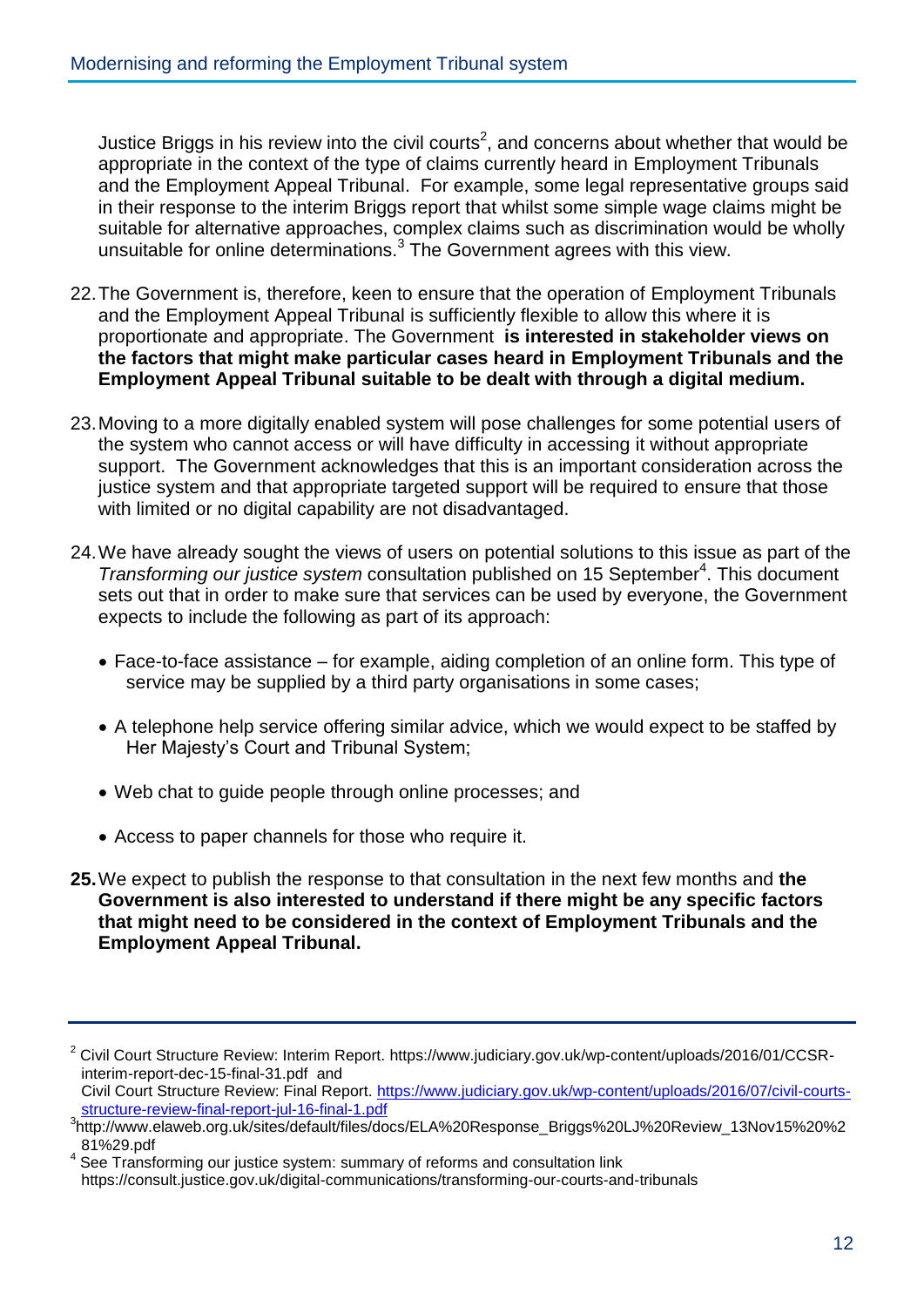Justice Briggs in his review into the civil courts<sup>2</sup>, and concerns about whether that would be appropriate in the context of the type of claims currently heard in Employment Tribunals and the Employment Appeal Tribunal. For example, some legal representative groups said in their response to the interim Briggs report that whilst some simple wage claims might be suitable for alternative approaches, complex claims such as discrimination would be wholly unsuitable for online determinations.<sup>3</sup> The Government agrees with this view.

- 22.The Government is, therefore, keen to ensure that the operation of Employment Tribunals and the Employment Appeal Tribunal is sufficiently flexible to allow this where it is proportionate and appropriate. The Government **is interested in stakeholder views on the factors that might make particular cases heard in Employment Tribunals and the Employment Appeal Tribunal suitable to be dealt with through a digital medium.**
- 23.Moving to a more digitally enabled system will pose challenges for some potential users of the system who cannot access or will have difficulty in accessing it without appropriate support. The Government acknowledges that this is an important consideration across the justice system and that appropriate targeted support will be required to ensure that those with limited or no digital capability are not disadvantaged.
- 24.We have already sought the views of users on potential solutions to this issue as part of the Transforming our justice system consultation published on 15 September<sup>4</sup>. This document sets out that in order to make sure that services can be used by everyone, the Government expects to include the following as part of its approach:
	- Face-to-face assistance for example, aiding completion of an online form. This type of service may be supplied by a third party organisations in some cases;
	- A telephone help service offering similar advice, which we would expect to be staffed by Her Majesty's Court and Tribunal System;
	- Web chat to guide people through online processes; and
	- Access to paper channels for those who require it.
- **25.**We expect to publish the response to that consultation in the next few months and **the Government is also interested to understand if there might be any specific factors that might need to be considered in the context of Employment Tribunals and the Employment Appeal Tribunal.**

<sup>&</sup>lt;sup>2</sup> Civil Court Structure Review: Interim Report. https://www.judiciary.gov.uk/wp-content/uploads/2016/01/CCSRinterim-report-dec-15-final-31.pdf and

Civil Court Structure Review: Final Report. [https://www.judiciary.gov.uk/wp-content/uploads/2016/07/civil-courts](https://www.judiciary.gov.uk/wp-content/uploads/2016/07/civil-courts-structure-review-final-report-jul-16-final-1.pdf)[structure-review-final-report-jul-16-final-1.pdf](https://www.judiciary.gov.uk/wp-content/uploads/2016/07/civil-courts-structure-review-final-report-jul-16-final-1.pdf)

<sup>3</sup> http://www.elaweb.org.uk/sites/default/files/docs/ELA%20Response\_Briggs%20LJ%20Review\_13Nov15%20%2 81%29.pdf

<sup>&</sup>lt;sup>4</sup> See Transforming our justice system: summary of reforms and consultation link https://consult.justice.gov.uk/digital-communications/transforming-our-courts-and-tribunals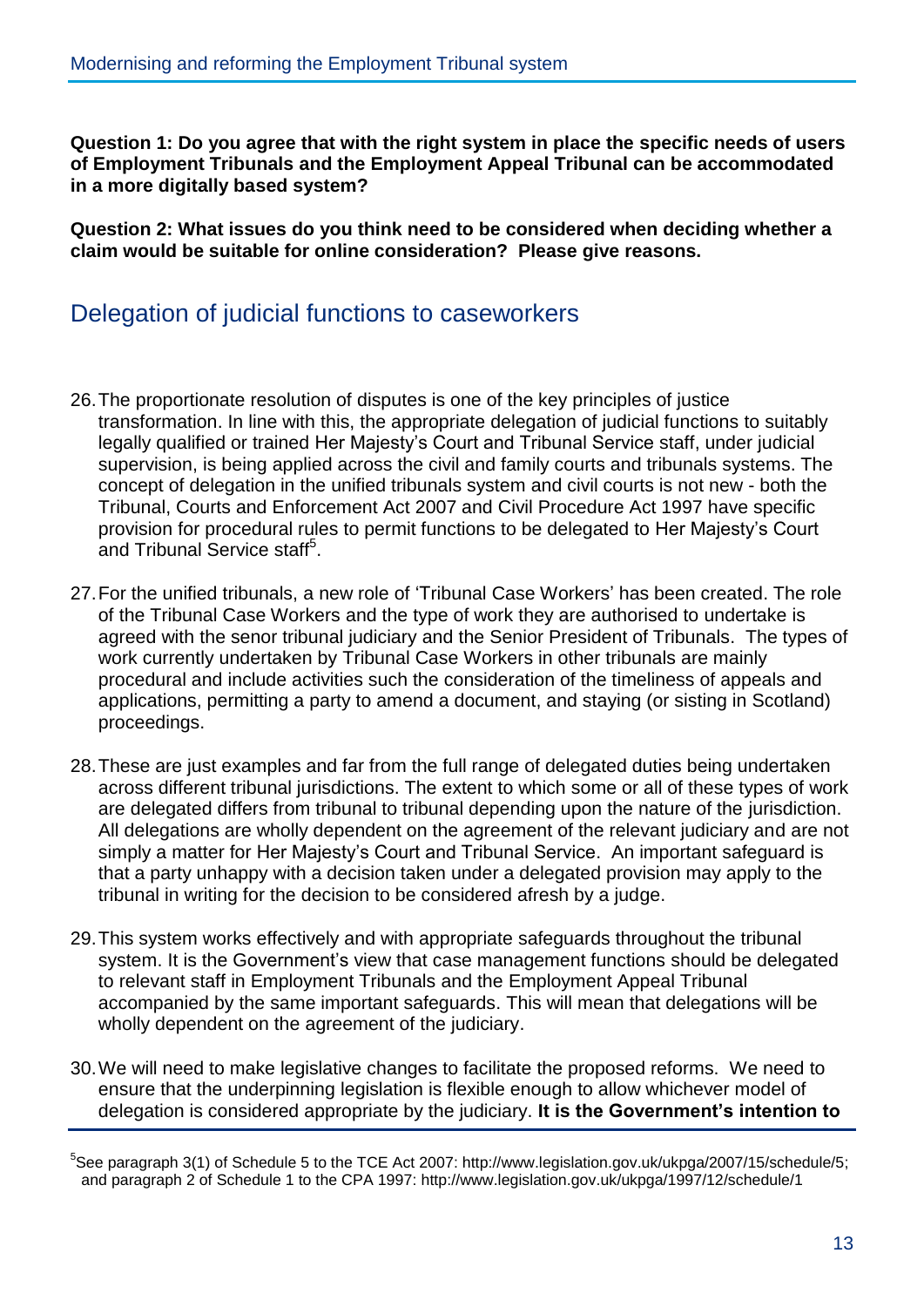**Question 1: Do you agree that with the right system in place the specific needs of users of Employment Tribunals and the Employment Appeal Tribunal can be accommodated in a more digitally based system?** 

**Question 2: What issues do you think need to be considered when deciding whether a claim would be suitable for online consideration? Please give reasons.**

#### <span id="page-13-0"></span>Delegation of judicial functions to caseworkers

- 26.The proportionate resolution of disputes is one of the key principles of justice transformation. In line with this, the appropriate delegation of judicial functions to suitably legally qualified or trained Her Majesty's Court and Tribunal Service staff, under judicial supervision, is being applied across the civil and family courts and tribunals systems. The concept of delegation in the unified tribunals system and civil courts is not new - both the Tribunal, Courts and Enforcement Act 2007 and Civil Procedure Act 1997 have specific provision for procedural rules to permit functions to be delegated to Her Majesty's Court and Tribunal Service staff<sup>5</sup>.
- 27.For the unified tribunals, a new role of 'Tribunal Case Workers' has been created. The role of the Tribunal Case Workers and the type of work they are authorised to undertake is agreed with the senor tribunal judiciary and the Senior President of Tribunals. The types of work currently undertaken by Tribunal Case Workers in other tribunals are mainly procedural and include activities such the consideration of the timeliness of appeals and applications, permitting a party to amend a document, and staying (or sisting in Scotland) proceedings.
- 28.These are just examples and far from the full range of delegated duties being undertaken across different tribunal jurisdictions. The extent to which some or all of these types of work are delegated differs from tribunal to tribunal depending upon the nature of the jurisdiction. All delegations are wholly dependent on the agreement of the relevant judiciary and are not simply a matter for Her Majesty's Court and Tribunal Service. An important safeguard is that a party unhappy with a decision taken under a delegated provision may apply to the tribunal in writing for the decision to be considered afresh by a judge.
- 29.This system works effectively and with appropriate safeguards throughout the tribunal system. It is the Government's view that case management functions should be delegated to relevant staff in Employment Tribunals and the Employment Appeal Tribunal accompanied by the same important safeguards. This will mean that delegations will be wholly dependent on the agreement of the judiciary.
- 30.We will need to make legislative changes to facilitate the proposed reforms. We need to ensure that the underpinning legislation is flexible enough to allow whichever model of delegation is considered appropriate by the judiciary. **It is the Government's intention to**

<sup>&</sup>lt;sup>5</sup>See paragraph 3(1) of Schedule 5 to the TCE Act 2007: http://www.legislation.gov.uk/ukpga/2007/15/schedule/5; and paragraph 2 of Schedule 1 to the CPA 1997: http://www.legislation.gov.uk/ukpga/1997/12/schedule/1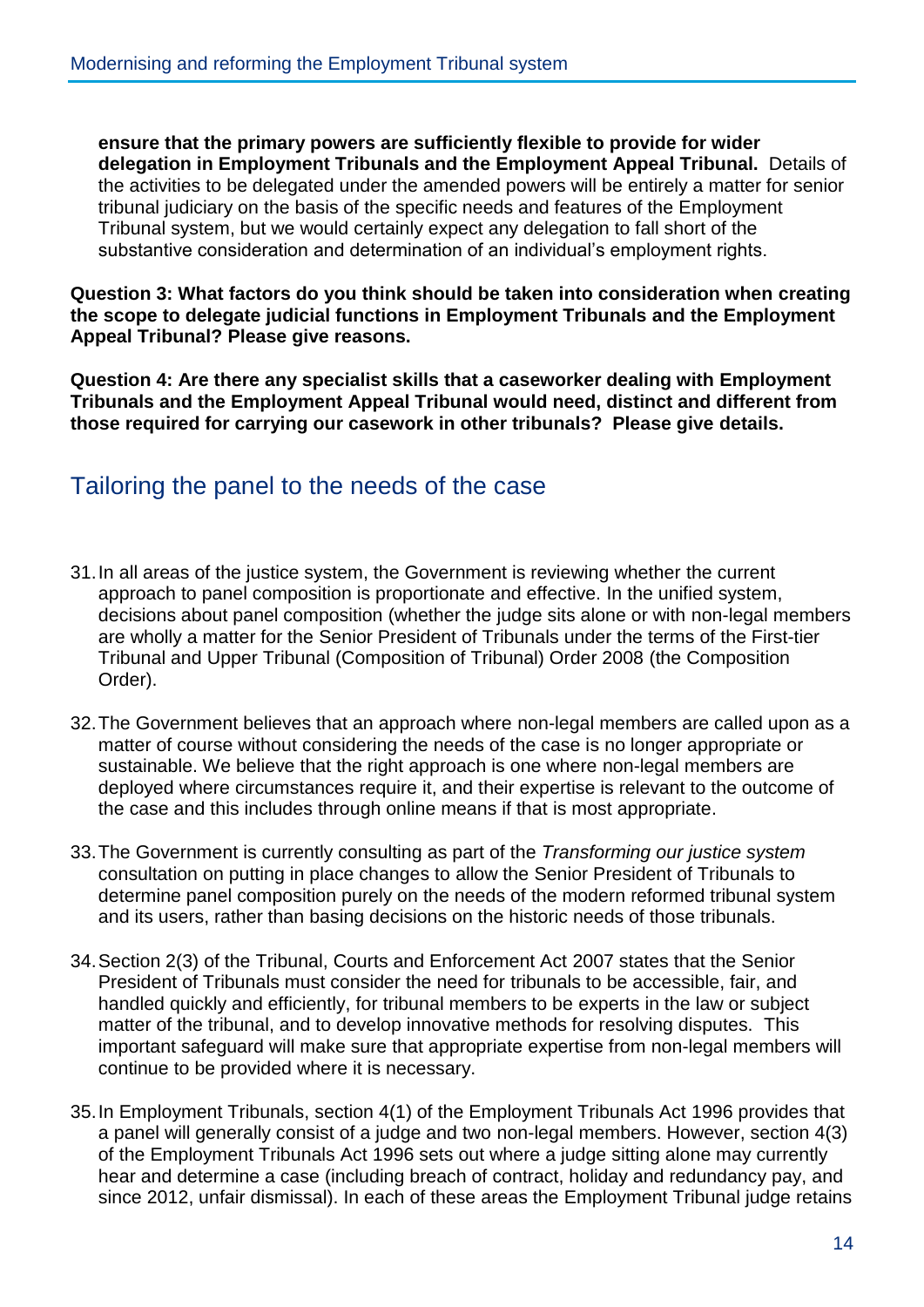**ensure that the primary powers are sufficiently flexible to provide for wider delegation in Employment Tribunals and the Employment Appeal Tribunal.** Details of the activities to be delegated under the amended powers will be entirely a matter for senior tribunal judiciary on the basis of the specific needs and features of the Employment Tribunal system, but we would certainly expect any delegation to fall short of the substantive consideration and determination of an individual's employment rights.

**Question 3: What factors do you think should be taken into consideration when creating the scope to delegate judicial functions in Employment Tribunals and the Employment Appeal Tribunal? Please give reasons.**

**Question 4: Are there any specialist skills that a caseworker dealing with Employment Tribunals and the Employment Appeal Tribunal would need, distinct and different from those required for carrying our casework in other tribunals? Please give details.**

#### <span id="page-14-0"></span>Tailoring the panel to the needs of the case

- 31.In all areas of the justice system, the Government is reviewing whether the current approach to panel composition is proportionate and effective. In the unified system, decisions about panel composition (whether the judge sits alone or with non-legal members are wholly a matter for the Senior President of Tribunals under the terms of the First-tier Tribunal and Upper Tribunal (Composition of Tribunal) Order 2008 (the Composition Order).
- 32.The Government believes that an approach where non-legal members are called upon as a matter of course without considering the needs of the case is no longer appropriate or sustainable. We believe that the right approach is one where non-legal members are deployed where circumstances require it, and their expertise is relevant to the outcome of the case and this includes through online means if that is most appropriate.
- 33.The Government is currently consulting as part of the *Transforming our justice system* consultation on putting in place changes to allow the Senior President of Tribunals to determine panel composition purely on the needs of the modern reformed tribunal system and its users, rather than basing decisions on the historic needs of those tribunals.
- 34.Section 2(3) of the Tribunal, Courts and Enforcement Act 2007 states that the Senior President of Tribunals must consider the need for tribunals to be accessible, fair, and handled quickly and efficiently, for tribunal members to be experts in the law or subject matter of the tribunal, and to develop innovative methods for resolving disputes. This important safeguard will make sure that appropriate expertise from non-legal members will continue to be provided where it is necessary.
- 35.In Employment Tribunals, section 4(1) of the Employment Tribunals Act 1996 provides that a panel will generally consist of a judge and two non-legal members. However, section 4(3) of the Employment Tribunals Act 1996 sets out where a judge sitting alone may currently hear and determine a case (including breach of contract, holiday and redundancy pay, and since 2012, unfair dismissal). In each of these areas the Employment Tribunal judge retains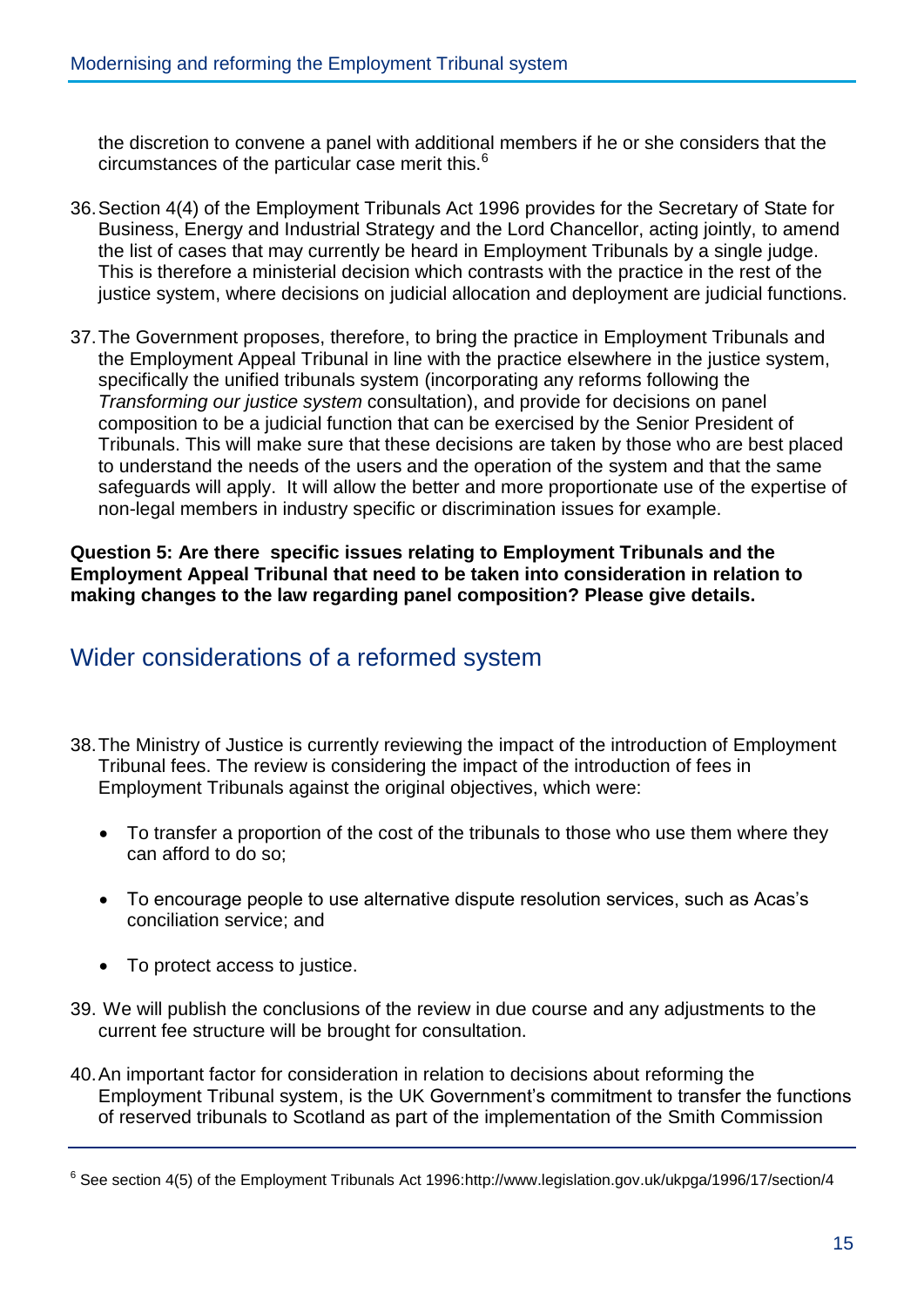the discretion to convene a panel with additional members if he or she considers that the circumstances of the particular case merit this.<sup>6</sup>

- 36.Section 4(4) of the Employment Tribunals Act 1996 provides for the Secretary of State for Business, Energy and Industrial Strategy and the Lord Chancellor, acting jointly, to amend the list of cases that may currently be heard in Employment Tribunals by a single judge. This is therefore a ministerial decision which contrasts with the practice in the rest of the justice system, where decisions on judicial allocation and deployment are judicial functions.
- 37.The Government proposes, therefore, to bring the practice in Employment Tribunals and the Employment Appeal Tribunal in line with the practice elsewhere in the justice system, specifically the unified tribunals system (incorporating any reforms following the *Transforming our justice system* consultation), and provide for decisions on panel composition to be a judicial function that can be exercised by the Senior President of Tribunals. This will make sure that these decisions are taken by those who are best placed to understand the needs of the users and the operation of the system and that the same safeguards will apply. It will allow the better and more proportionate use of the expertise of non-legal members in industry specific or discrimination issues for example.

**Question 5: Are there specific issues relating to Employment Tribunals and the Employment Appeal Tribunal that need to be taken into consideration in relation to making changes to the law regarding panel composition? Please give details.**

#### <span id="page-15-0"></span>Wider considerations of a reformed system

- 38.The Ministry of Justice is currently reviewing the impact of the introduction of Employment Tribunal fees. The review is considering the impact of the introduction of fees in Employment Tribunals against the original objectives, which were:
	- To transfer a proportion of the cost of the tribunals to those who use them where they can afford to do so;
	- To encourage people to use alternative dispute resolution services, such as Acas's conciliation service; and
	- To protect access to justice.
- 39. We will publish the conclusions of the review in due course and any adjustments to the current fee structure will be brought for consultation.
- 40.An important factor for consideration in relation to decisions about reforming the Employment Tribunal system, is the UK Government's commitment to transfer the functions of reserved tribunals to Scotland as part of the implementation of the Smith Commission

<sup>&</sup>lt;sup>6</sup> See section 4(5) of the Employment Tribunals Act 1996:http://www.legislation.gov.uk/ukpga/1996/17/section/4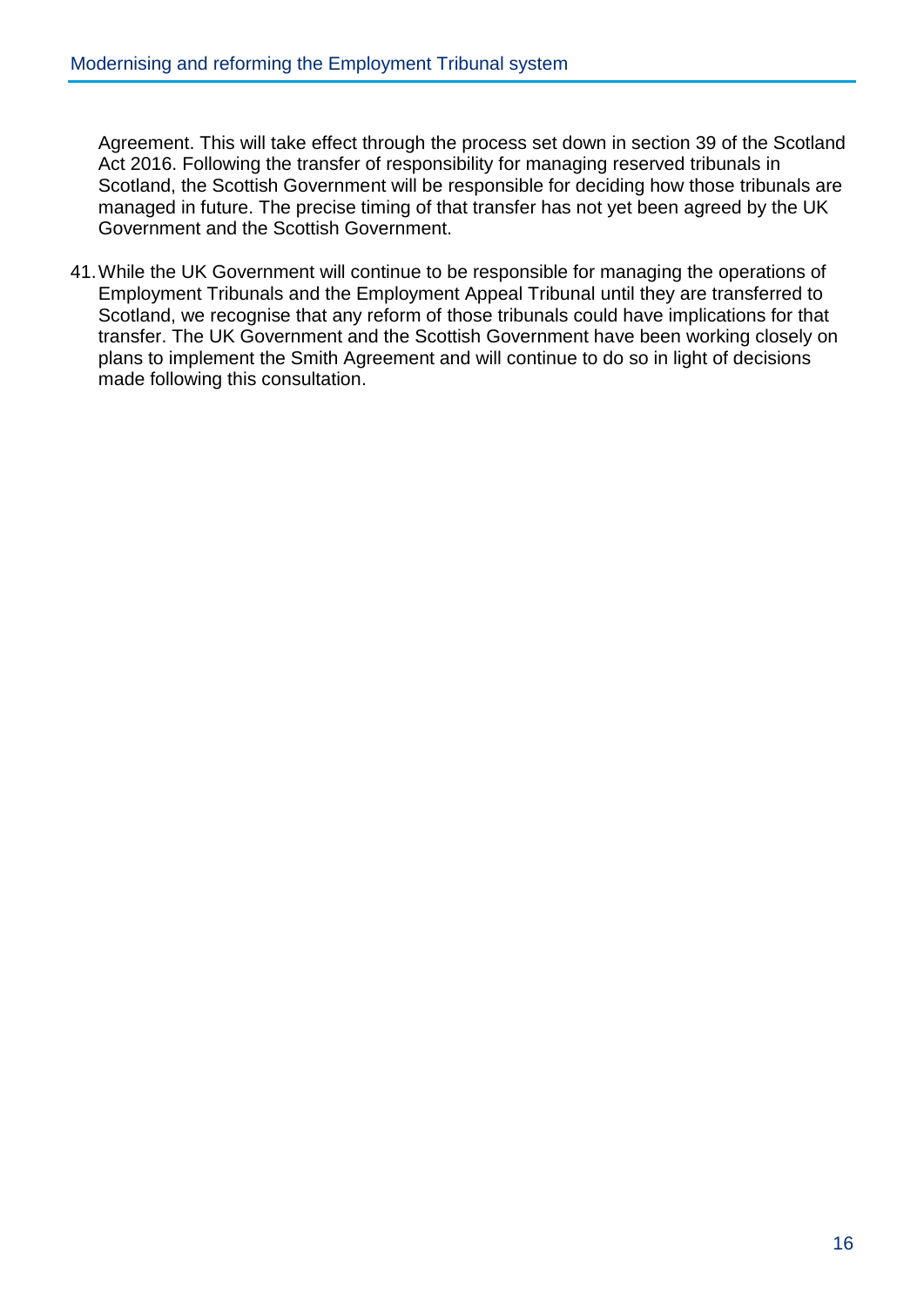Agreement. This will take effect through the process set down in section 39 of the Scotland Act 2016. Following the transfer of responsibility for managing reserved tribunals in Scotland, the Scottish Government will be responsible for deciding how those tribunals are managed in future. The precise timing of that transfer has not yet been agreed by the UK Government and the Scottish Government.

41.While the UK Government will continue to be responsible for managing the operations of Employment Tribunals and the Employment Appeal Tribunal until they are transferred to Scotland, we recognise that any reform of those tribunals could have implications for that transfer. The UK Government and the Scottish Government have been working closely on plans to implement the Smith Agreement and will continue to do so in light of decisions made following this consultation.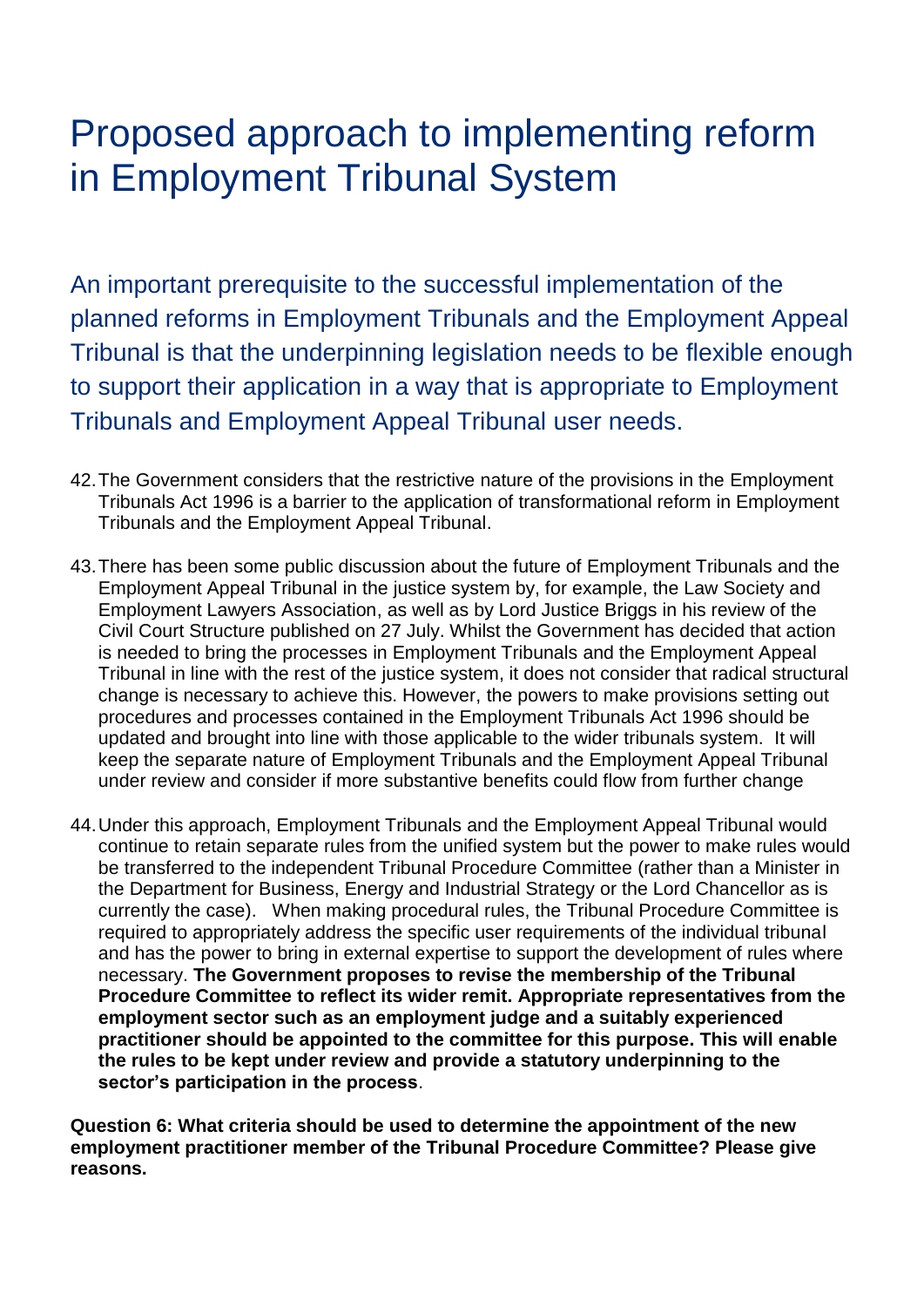### <span id="page-17-0"></span>Proposed approach to implementing reform in Employment Tribunal System

An important prerequisite to the successful implementation of the planned reforms in Employment Tribunals and the Employment Appeal Tribunal is that the underpinning legislation needs to be flexible enough to support their application in a way that is appropriate to Employment Tribunals and Employment Appeal Tribunal user needs.

- 42.The Government considers that the restrictive nature of the provisions in the Employment Tribunals Act 1996 is a barrier to the application of transformational reform in Employment Tribunals and the Employment Appeal Tribunal.
- 43.There has been some public discussion about the future of Employment Tribunals and the Employment Appeal Tribunal in the justice system by, for example, the Law Society and Employment Lawyers Association, as well as by Lord Justice Briggs in his review of the Civil Court Structure published on 27 July. Whilst the Government has decided that action is needed to bring the processes in Employment Tribunals and the Employment Appeal Tribunal in line with the rest of the justice system, it does not consider that radical structural change is necessary to achieve this. However, the powers to make provisions setting out procedures and processes contained in the Employment Tribunals Act 1996 should be updated and brought into line with those applicable to the wider tribunals system. It will keep the separate nature of Employment Tribunals and the Employment Appeal Tribunal under review and consider if more substantive benefits could flow from further change
- 44.Under this approach, Employment Tribunals and the Employment Appeal Tribunal would continue to retain separate rules from the unified system but the power to make rules would be transferred to the independent Tribunal Procedure Committee (rather than a Minister in the Department for Business, Energy and Industrial Strategy or the Lord Chancellor as is currently the case). When making procedural rules, the Tribunal Procedure Committee is required to appropriately address the specific user requirements of the individual tribunal and has the power to bring in external expertise to support the development of rules where necessary. **The Government proposes to revise the membership of the Tribunal Procedure Committee to reflect its wider remit. Appropriate representatives from the employment sector such as an employment judge and a suitably experienced practitioner should be appointed to the committee for this purpose. This will enable the rules to be kept under review and provide a statutory underpinning to the sector's participation in the process**.

**Question 6: What criteria should be used to determine the appointment of the new employment practitioner member of the Tribunal Procedure Committee? Please give reasons.**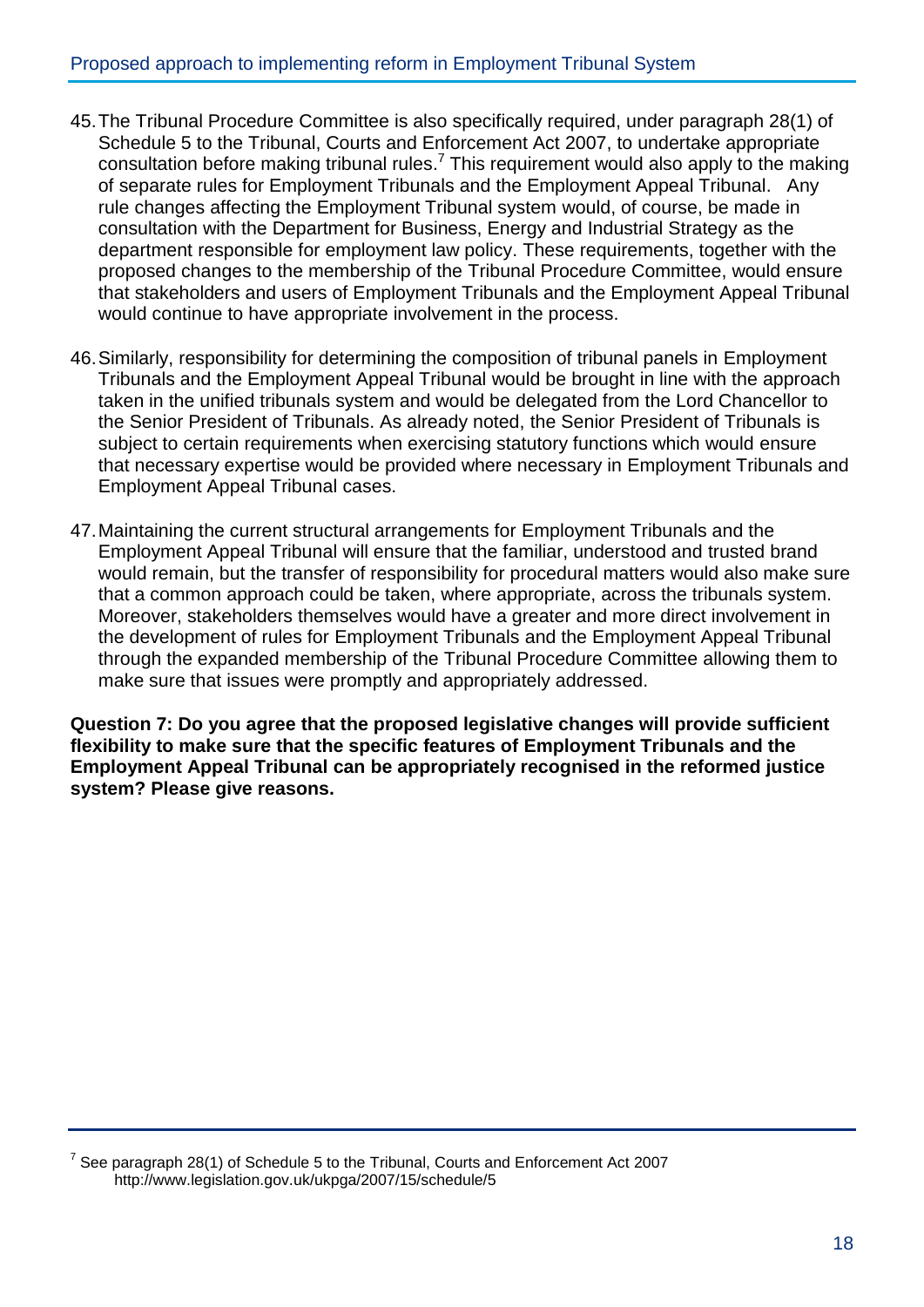- 45.The Tribunal Procedure Committee is also specifically required, under paragraph 28(1) of Schedule 5 to the Tribunal, Courts and Enforcement Act 2007, to undertake appropriate consultation before making tribunal rules.<sup>7</sup> This requirement would also apply to the making of separate rules for Employment Tribunals and the Employment Appeal Tribunal. Any rule changes affecting the Employment Tribunal system would, of course, be made in consultation with the Department for Business, Energy and Industrial Strategy as the department responsible for employment law policy. These requirements, together with the proposed changes to the membership of the Tribunal Procedure Committee, would ensure that stakeholders and users of Employment Tribunals and the Employment Appeal Tribunal would continue to have appropriate involvement in the process.
- 46.Similarly, responsibility for determining the composition of tribunal panels in Employment Tribunals and the Employment Appeal Tribunal would be brought in line with the approach taken in the unified tribunals system and would be delegated from the Lord Chancellor to the Senior President of Tribunals. As already noted, the Senior President of Tribunals is subject to certain requirements when exercising statutory functions which would ensure that necessary expertise would be provided where necessary in Employment Tribunals and Employment Appeal Tribunal cases.
- 47.Maintaining the current structural arrangements for Employment Tribunals and the Employment Appeal Tribunal will ensure that the familiar, understood and trusted brand would remain, but the transfer of responsibility for procedural matters would also make sure that a common approach could be taken, where appropriate, across the tribunals system. Moreover, stakeholders themselves would have a greater and more direct involvement in the development of rules for Employment Tribunals and the Employment Appeal Tribunal through the expanded membership of the Tribunal Procedure Committee allowing them to make sure that issues were promptly and appropriately addressed.

**Question 7: Do you agree that the proposed legislative changes will provide sufficient flexibility to make sure that the specific features of Employment Tribunals and the Employment Appeal Tribunal can be appropriately recognised in the reformed justice system? Please give reasons.**

 $^7$  See paragraph 28(1) of Schedule 5 to the Tribunal, Courts and Enforcement Act 2007 http://www.legislation.gov.uk/ukpga/2007/15/schedule/5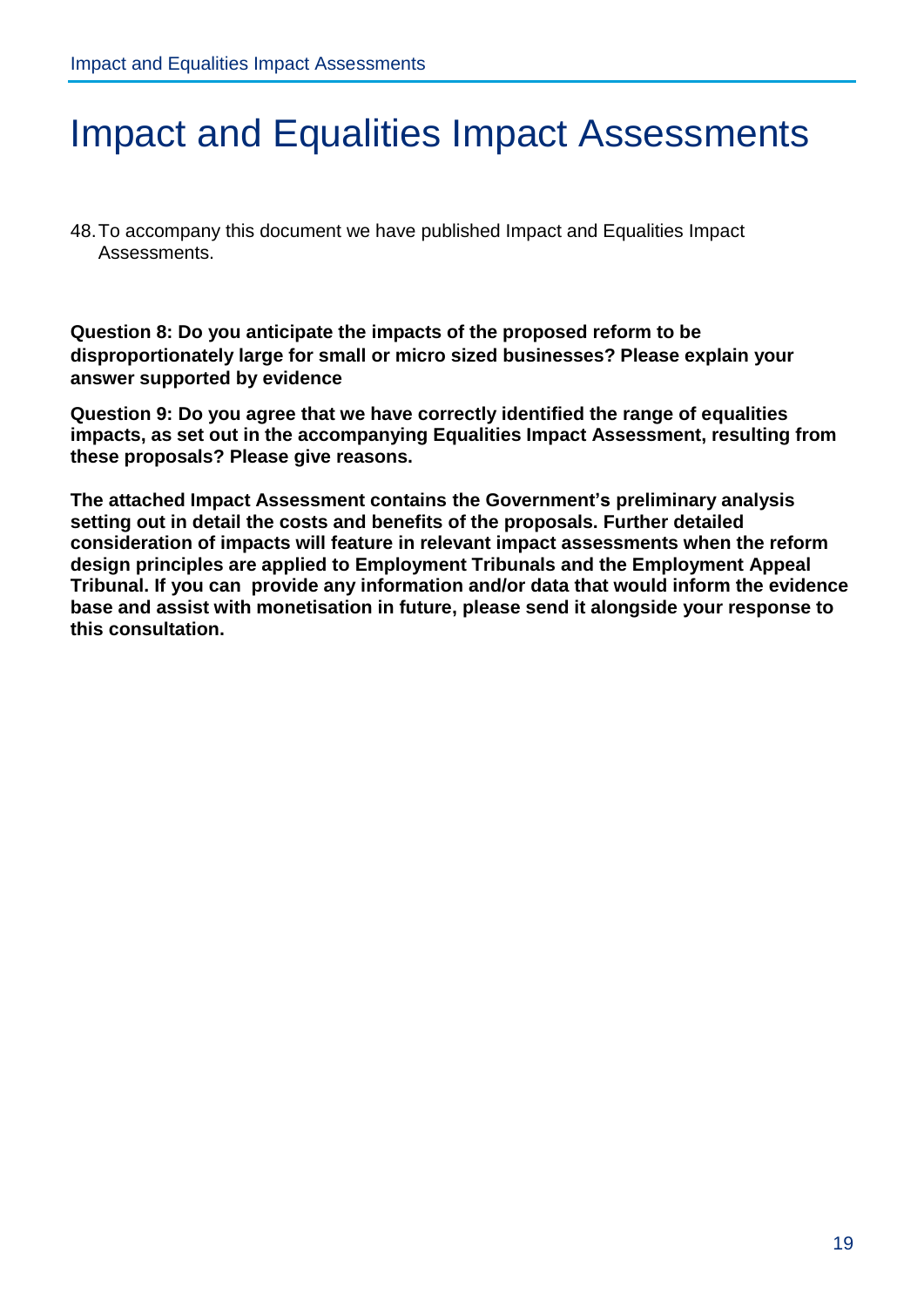### <span id="page-19-0"></span>Impact and Equalities Impact Assessments

48.To accompany this document we have published Impact and Equalities Impact Assessments.

**Question 8: Do you anticipate the impacts of the proposed reform to be disproportionately large for small or micro sized businesses? Please explain your answer supported by evidence** 

**Question 9: Do you agree that we have correctly identified the range of equalities impacts, as set out in the accompanying Equalities Impact Assessment, resulting from these proposals? Please give reasons.**

**The attached Impact Assessment contains the Government's preliminary analysis setting out in detail the costs and benefits of the proposals. Further detailed consideration of impacts will feature in relevant impact assessments when the reform design principles are applied to Employment Tribunals and the Employment Appeal Tribunal. If you can provide any information and/or data that would inform the evidence base and assist with monetisation in future, please send it alongside your response to this consultation.**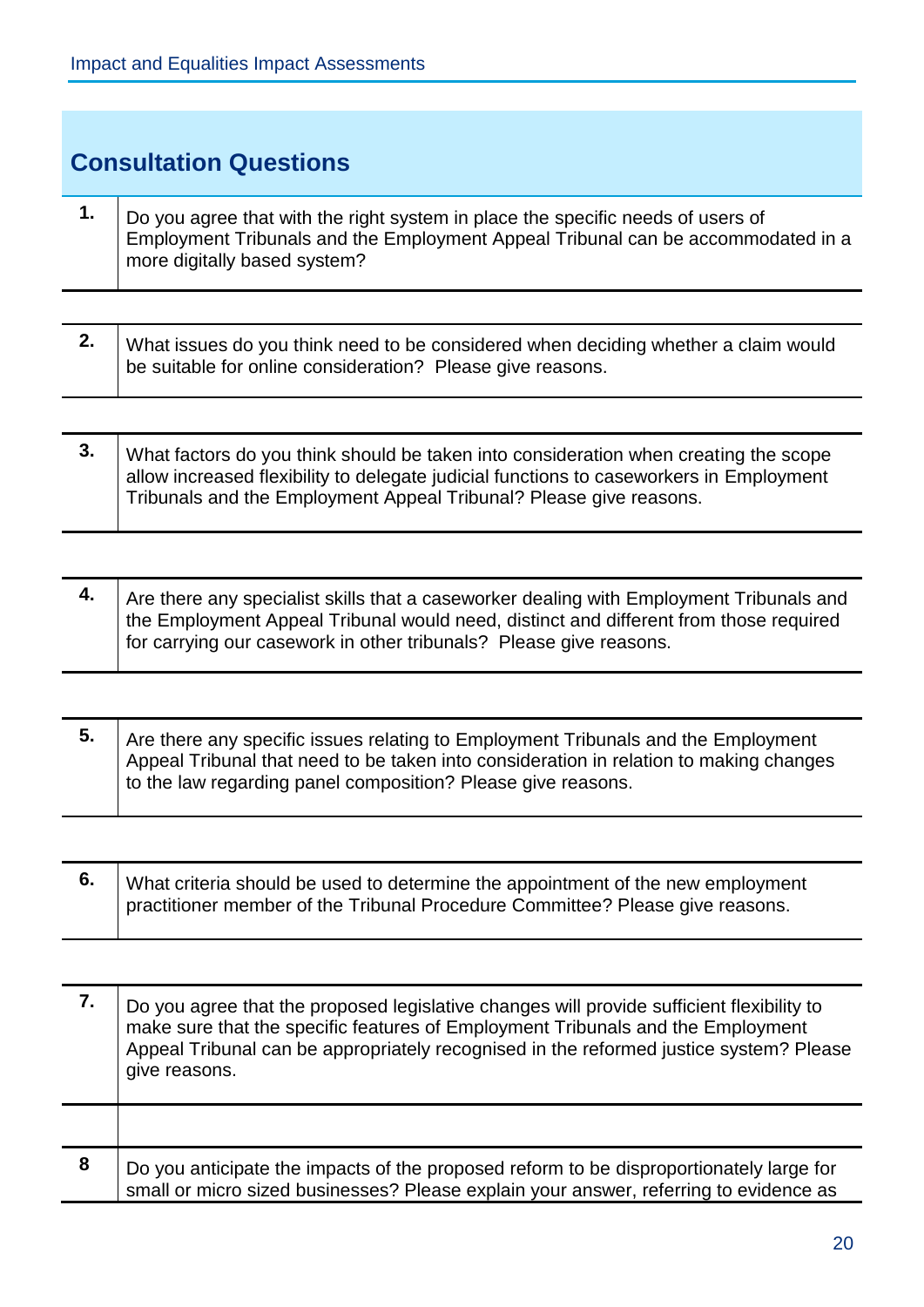Τ

<span id="page-20-0"></span>

| <b>Consultation Questions</b> |                                                                                                                                                                                                     |
|-------------------------------|-----------------------------------------------------------------------------------------------------------------------------------------------------------------------------------------------------|
| 1.                            | Do you agree that with the right system in place the specific needs of users of<br>Employment Tribunals and the Employment Appeal Tribunal can be accommodated in a<br>more digitally based system? |

| 2. $\vert$ What issues do you think need to be considered when deciding whether a claim would<br>be suitable for online consideration? Please give reasons. |
|-------------------------------------------------------------------------------------------------------------------------------------------------------------|
|                                                                                                                                                             |

| What factors do you think should be taken into consideration when creating the scope    |
|-----------------------------------------------------------------------------------------|
| allow increased flexibility to delegate judicial functions to caseworkers in Employment |
| Tribunals and the Employment Appeal Tribunal? Please give reasons.                      |
|                                                                                         |

| 4. | Are there any specialist skills that a caseworker dealing with Employment Tribunals and |
|----|-----------------------------------------------------------------------------------------|
|    | the Employment Appeal Tribunal would need, distinct and different from those required   |
|    | for carrying our casework in other tribunals? Please give reasons.                      |
|    |                                                                                         |

| Are there any specific issues relating to Employment Tribunals and the Employment      |
|----------------------------------------------------------------------------------------|
| Appeal Tribunal that need to be taken into consideration in relation to making changes |
| to the law regarding panel composition? Please give reasons.                           |

| What criteria should be used to determine the appointment of the new employment |
|---------------------------------------------------------------------------------|
| practitioner member of the Tribunal Procedure Committee? Please give reasons.   |

|   | Do you agree that the proposed legislative changes will provide sufficient flexibility to<br>make sure that the specific features of Employment Tribunals and the Employment<br>Appeal Tribunal can be appropriately recognised in the reformed justice system? Please<br>give reasons. |
|---|-----------------------------------------------------------------------------------------------------------------------------------------------------------------------------------------------------------------------------------------------------------------------------------------|
|   |                                                                                                                                                                                                                                                                                         |
| 8 | Do you anticipate the impacts of the proposed reform to be disproportionately large for<br>small or micro sized businesses? Please explain your answer, referring to evidence as                                                                                                        |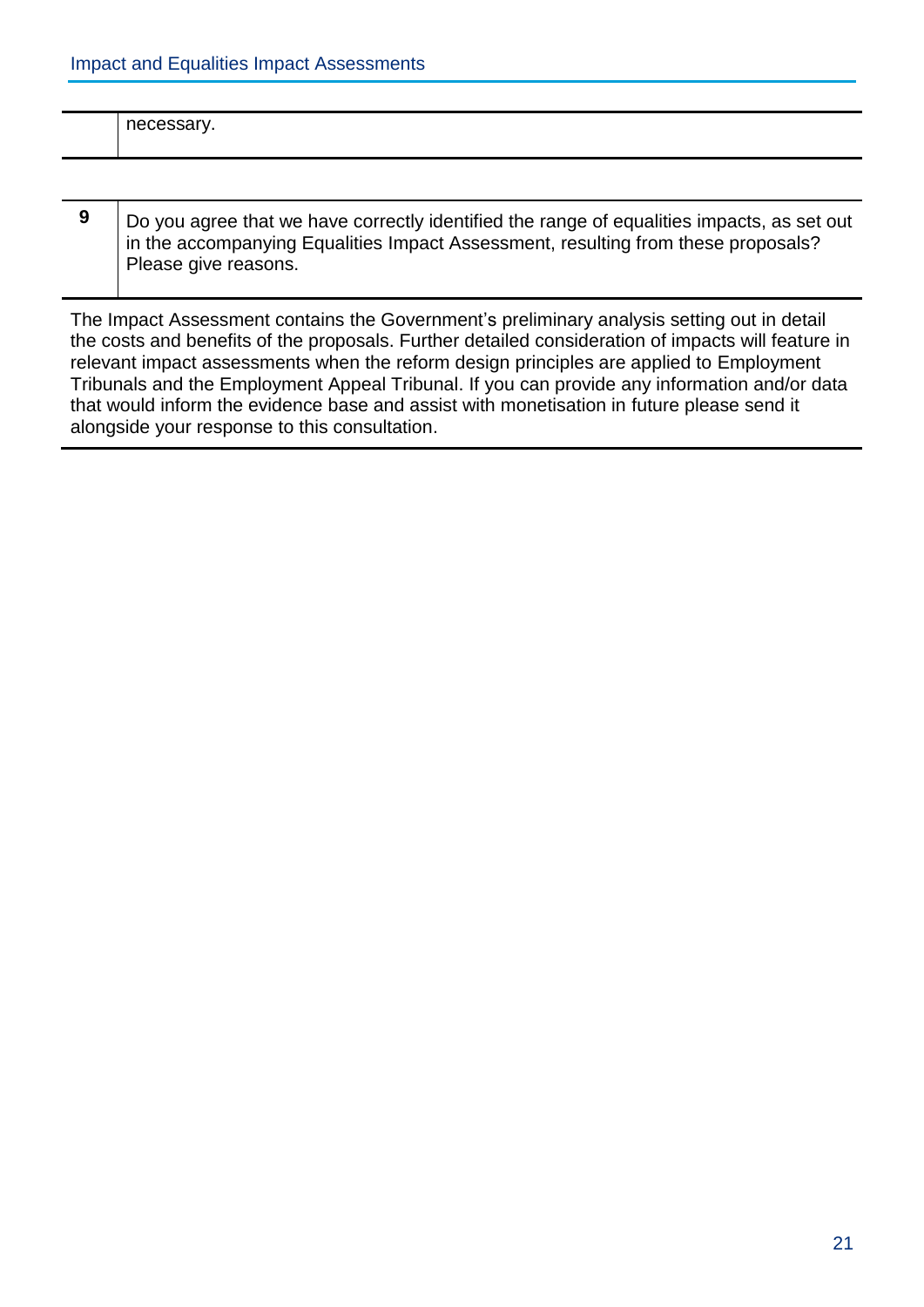| $\sim$ $\sim$ $\sim$ $\sim$ $\sim$ $\sim$ $\sim$<br>$\sim$ |
|------------------------------------------------------------|
|                                                            |

**9** Do you agree that we have correctly identified the range of equalities impacts, as set out in the accompanying Equalities Impact Assessment, resulting from these proposals? Please give reasons.

The Impact Assessment contains the Government's preliminary analysis setting out in detail the costs and benefits of the proposals. Further detailed consideration of impacts will feature in relevant impact assessments when the reform design principles are applied to Employment Tribunals and the Employment Appeal Tribunal. If you can provide any information and/or data that would inform the evidence base and assist with monetisation in future please send it alongside your response to this consultation.